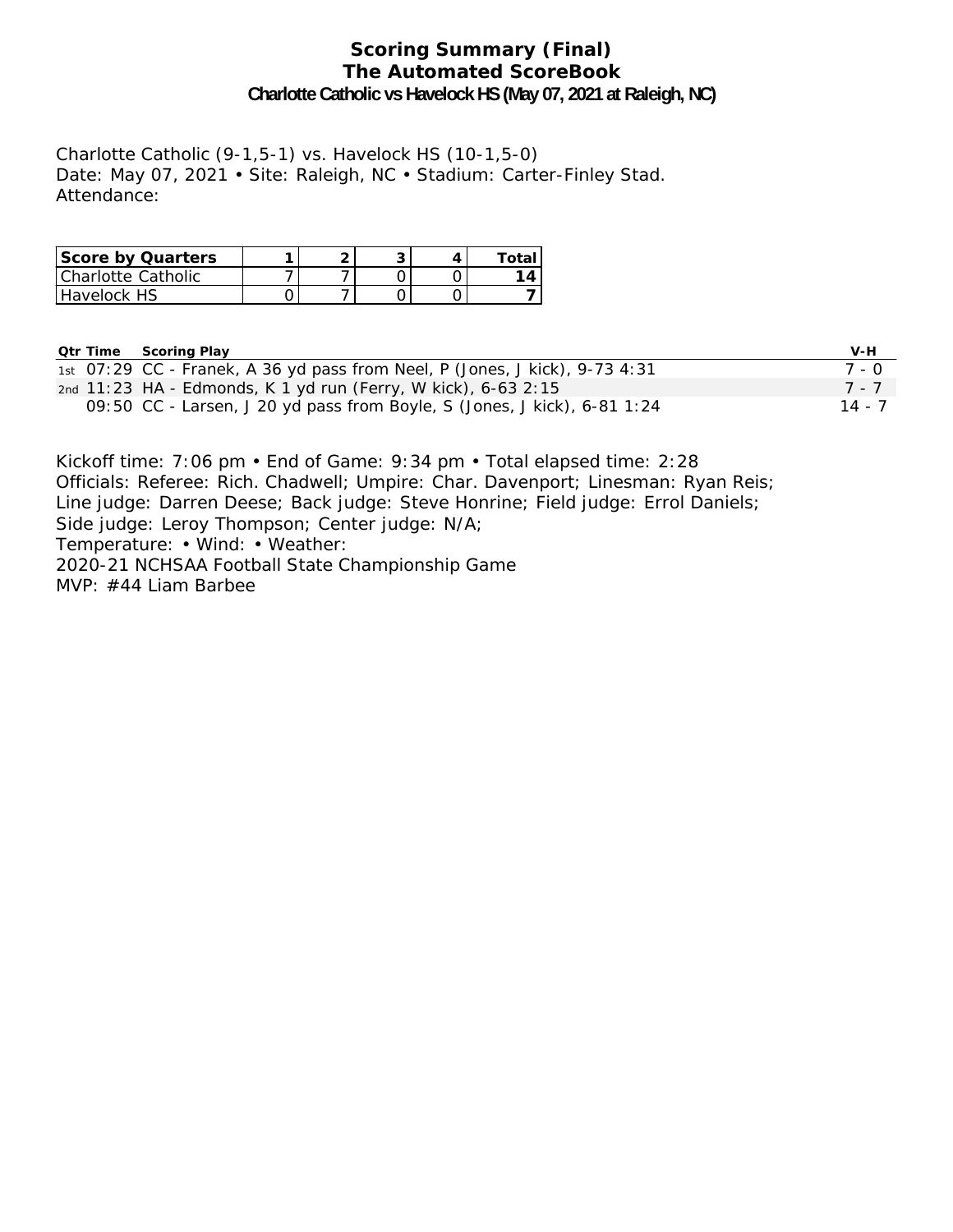#### **Scoring Summary (Final) The Automated ScoreBook Charlotte Catholic vs Havelock HS (May 07, 2021 at Raleigh, NC)**

Charlotte Catholic (9-1,5-1) vs. Havelock HS (10-1,5-0) Date: May 07, 2021 • Site: Raleigh, NC • Stadium: Carter-Finley Stad. Attendance:

| <b>Score by Quarters</b> |  |  | Total |
|--------------------------|--|--|-------|
| l Charlotte Catholic     |  |  | 1 Д   |
| Havelock HS              |  |  |       |

| <b>Qtr Time</b> | Scoring Play                                                                | V-H     |
|-----------------|-----------------------------------------------------------------------------|---------|
|                 | 1st 07:29 CC - Franek, A 36 yd pass from Neel, P (Jones, J kick), 9-73 4:31 | 7 - 0   |
|                 | 2nd 11:23 HA - Edmonds, K 1 yd run (Ferry, W kick), 6-63 2:15               | $7 - 7$ |
|                 | 09:50 CC - Larsen, J 20 yd pass from Boyle, S (Jones, J kick), $6-81$ 1:24  | 14 - 7  |

Kickoff time: 7:06 pm • End of Game: 9:34 pm • Total elapsed time: 2:28 Officials: Referee: Rich. Chadwell; Umpire: Char. Davenport; Linesman: Ryan Reis; Line judge: Darren Deese; Back judge: Steve Honrine; Field judge: Errol Daniels; Side judge: Leroy Thompson; Center judge: N/A; Temperature: • Wind: • Weather: 2020-21 NCHSAA Football State Championship Game MVP: #44 Liam Barbee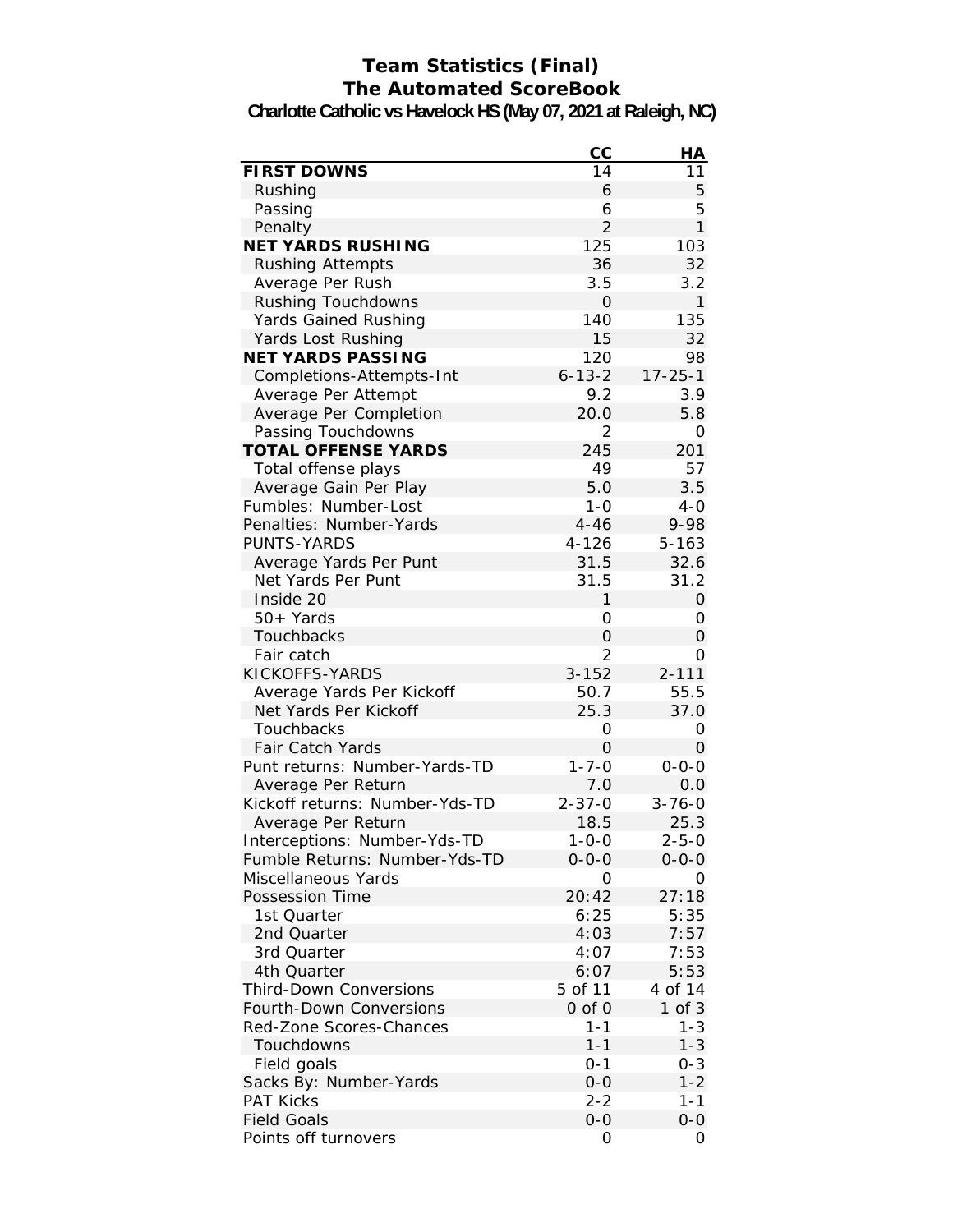# **Team Statistics (Final) The Automated ScoreBook**

**Charlotte Catholic vs Havelock HS (May 07, 2021 at Raleigh, NC)**

|                                | cc             | HА            |
|--------------------------------|----------------|---------------|
| <b>FIRST DOWNS</b>             | 14             | 11            |
| Rushing                        | 6              | 5             |
| Passing                        | 6              | 5             |
| Penalty                        | $\overline{2}$ | $\mathbf{1}$  |
| <b>NET YARDS RUSHING</b>       | 125            | 103           |
| <b>Rushing Attempts</b>        | 36             | 32            |
| Average Per Rush               | 3.5            | 3.2           |
| Rushing Touchdowns             | 0              | $\mathbf{1}$  |
| Yards Gained Rushing           | 140            | 135           |
| Yards Lost Rushing             | 15             | 32            |
| <b>NET YARDS PASSING</b>       | 120            | 98            |
| Completions-Attempts-Int       | $6 - 13 - 2$   | $17 - 25 - 1$ |
| Average Per Attempt            | 9.2            | 3.9           |
| Average Per Completion         | 20.0           | 5.8           |
| Passing Touchdowns             | $\overline{2}$ | 0             |
| <b>TOTAL OFFENSE YARDS</b>     | 245            | 201           |
| Total offense plays            | 49             | 57            |
| Average Gain Per Play          | 5.0            | 3.5           |
| Fumbles: Number-Lost           | $1 - 0$        | $4-0$         |
| Penalties: Number-Yards        | $4 - 46$       | 9-98          |
| <b>PUNTS-YARDS</b>             | $4 - 126$      | $5 - 163$     |
| Average Yards Per Punt         | 31.5           | 32.6          |
| Net Yards Per Punt             | 31.5           | 31.2          |
| Inside 20                      | 1              | 0             |
| 50+ Yards                      | 0              | 0             |
| Touchbacks                     | 0              | $\Omega$      |
| Fair catch                     | $\overline{2}$ | Ο             |
| KICKOFFS-YARDS                 | $3 - 152$      | $2 - 111$     |
| Average Yards Per Kickoff      | 50.7           | 55.5          |
| Net Yards Per Kickoff          | 25.3           | 37.0          |
| Touchbacks                     | 0              | 0             |
| <b>Fair Catch Yards</b>        | 0              | 0             |
| Punt returns: Number-Yards-TD  | $1 - 7 - 0$    | $0 - 0 - 0$   |
| Average Per Return             | 7.0            | 0.0           |
| Kickoff returns: Number-Yds-TD | $2 - 37 - 0$   | $3 - 76 - 0$  |
| Average Per Return             | 18.5           | 25.3          |
| Interceptions: Number-Yds-TD   | $1 - 0 - 0$    | $2 - 5 - 0$   |
| Fumble Returns: Number-Yds-TD  | $0 - 0 - 0$    | $0 - 0 - 0$   |
| Miscellaneous Yards            | 0              | 0             |
| Possession Time                | 20:42          | 27:18         |
| 1st Quarter                    | 6:25           | 5:35          |
| 2nd Quarter                    | 4:03           | 7:57          |
| 3rd Quarter                    | 4:07           | 7:53          |
| 4th Quarter                    | 6:07           | 5:53          |
| <b>Third-Down Conversions</b>  | 5 of 11        | 4 of 14       |
| Fourth-Down Conversions        | 0 of 0         | $1$ of $3$    |
| Red-Zone Scores-Chances        | $1 - 1$        | $1 - 3$       |
| Touchdowns                     | $1 - 1$        | $1 - 3$       |
| Field goals                    | $0 - 1$        | $0 - 3$       |
| Sacks By: Number-Yards         | $0 - 0$        | $1 - 2$       |
| <b>PAT Kicks</b>               | $2 - 2$        | $1 - 1$       |
| <b>Field Goals</b>             | $O-O$          | $O-O$         |
| Points off turnovers           | 0              | 0             |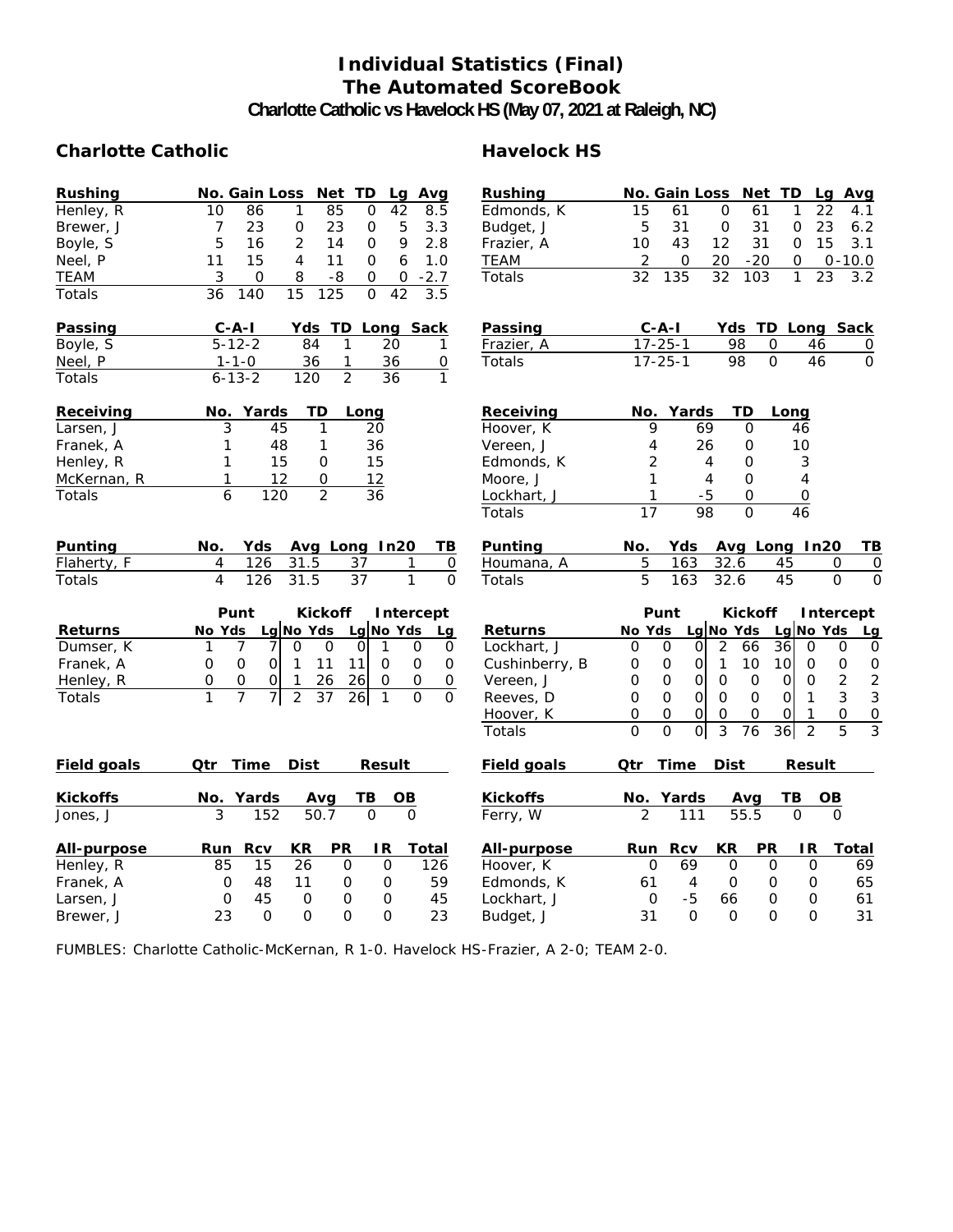## **Individual Statistics (Final) The Automated ScoreBook**

**Charlotte Catholic vs Havelock HS (May 07, 2021 at Raleigh, NC)**

#### Charlotte Catholic **Havelock HS**

| <b>Rushing</b>     | No. Gain Loss<br>Net TD<br>Avg<br>Lg                                                               | <b>Rushing</b>     | No. Gain Loss<br>Net TD<br>Lg Avg                                                                                   |
|--------------------|----------------------------------------------------------------------------------------------------|--------------------|---------------------------------------------------------------------------------------------------------------------|
| Henley, R          | 85<br>42<br>10<br>86<br>1<br>0<br>$\overline{8.5}$                                                 | Edmonds, K         | 15<br>$\mathbf 0$<br>22<br>61<br>61<br>1<br>4.1                                                                     |
| Brewer, J          | 23<br>5<br>7<br>23<br>0<br>3.3<br>0                                                                | Budget, J          | 23<br>5<br>31<br>31<br>$\mathbf 0$<br>0<br>6.2                                                                      |
| Boyle, S           | 5<br>$\overline{2}$<br>9<br>16<br>14<br>$\Omega$<br>2.8                                            | Frazier, A         | 15<br>10<br>43<br>12<br>31<br>$\Omega$<br>3.1                                                                       |
| Neel, P            | 15<br>4<br>11<br>6<br>1.0<br>11<br>$\Omega$                                                        | TEAM               | $-20$<br>2<br>20<br>$0 - 10.0$<br>0<br>0                                                                            |
| <b>TEAM</b>        | 3<br>8<br>$-8$<br>$\mathsf O$<br>$-2.7$<br>0<br>0                                                  | Totals             | $\overline{32}$<br>$\overline{32}$<br>103<br>$\mathbf{1}$<br>$\overline{23}$<br>135<br>3.2                          |
| Totals             | $\frac{1}{125}$<br>15<br>$\Omega$<br>42<br>36<br>140<br>3.5                                        |                    |                                                                                                                     |
| Passing            | $C - A - I$<br>Yds TD Long Sack                                                                    | Passing            | $C - A - I$<br>Yds TD Long Sack                                                                                     |
| Boyle, S           | $5 - 12 - 2$<br>84<br>20<br>1<br>1                                                                 | Frazier, A         | $17 - 25 - 1$<br>98<br>0<br>46<br>0                                                                                 |
| Neel, P            | 36<br>36<br>$1 - 1 - 0$<br>1<br>0                                                                  | Totals             | $\overline{0}$<br>$\overline{0}$<br>46<br>$17 - 25 - 1$<br>98                                                       |
| Totals             | $\overline{2}$<br>$\overline{36}$<br>$6 - 13 - 2$<br>120<br>$\mathbf{1}$                           |                    |                                                                                                                     |
| Receiving          | TD<br>No. Yards<br>Long                                                                            | Receiving          | <b>TD</b><br>No. Yards<br>Long                                                                                      |
| Larsen, J          | 3<br>45<br>20<br>1                                                                                 | Hoover, K          | 9<br>69<br>$\mathsf{O}$<br>46                                                                                       |
| Franek, A          | 48<br>1<br>1<br>36                                                                                 | Vereen, J          | 4<br>26<br>0<br>10                                                                                                  |
| Henley, R          | 15<br>1<br>15<br>0                                                                                 | Edmonds, K         | 2<br>$\Omega$<br>3<br>4                                                                                             |
| McKernan, R        | 12<br>1<br>12<br>0                                                                                 | Moore, J           | 1<br>4<br>$\Omega$<br>4                                                                                             |
| Totals             | $\overline{2}$<br>6<br>120<br>36                                                                   | Lockhart, J        | 1<br>$-5$<br>0<br>$\overline{0}$                                                                                    |
|                    |                                                                                                    | Totals             | 17<br>98<br>$\Omega$<br>$\overline{46}$                                                                             |
| Punting            | Yds<br>Avg Long In20<br>No.<br>TВ                                                                  | Punting            | Yds<br>Avg Long In20<br>TB<br>No.                                                                                   |
| Flaherty, F        | $\overline{4}$<br>126<br>31.5<br>37<br>$\overline{0}$<br>1                                         | Houmana, A         | 5<br>163<br>32.6<br>$\mathsf{O}\xspace$<br>0<br>45                                                                  |
| Totals             | $\overline{4}$<br>126<br>31.5<br>37<br>$\mathbf{1}$<br>$\mathbf{O}$                                | Totals             | 5<br>163<br>45<br>$\mathbf{O}$<br>32.6<br>$\Omega$                                                                  |
|                    | Punt<br><b>Kickoff</b><br>Intercept                                                                |                    | Punt<br><b>Kickoff</b><br>Intercept                                                                                 |
| <b>Returns</b>     | Lg No Yds<br>Lg No Yds<br>No Yds<br>Lg                                                             | <b>Returns</b>     | Lg No Yds<br>No Yds<br>Lg No Yds<br>Lg                                                                              |
| Dumser, K          | 7<br>$\mathsf{O}$<br>$\Omega$<br>$\mathbf{1}$<br>7<br>$\Omega$<br>0<br>$\mathbf 0$<br>1            | Lockhart, J        | $\overline{2}$<br>$\mathsf{O}$<br>$\mathbf 0$<br>66<br>36<br>$\mathbf 0$<br>0<br>0<br>0                             |
| Franek, A          | $\mathbf 0$<br>$\mathbf 0$<br>11<br>11<br>$\mathbf{1}$<br>$\Omega$<br>$\Omega$<br>$\Omega$<br>0    | Cushinberry, B     | $\mathsf O$<br>$\mathbf 0$<br>$\mathbf{1}$<br>10<br>10<br>$\mathsf O$<br>$\mathbf 0$<br>$\boldsymbol{0}$<br>0       |
| Henley, R          | 0<br>26<br>$\mathsf{O}$<br>0<br>0<br>1<br>26<br>$\mathbf 0$<br>$\mathsf O$                         | Vereen, J          | $\overline{2}$<br>$\overline{2}$<br>$\mathbf 0$<br>$\Omega$<br>$\mathbf 0$<br>0<br>0<br>$\mathbf 0$<br>O            |
| Totals             | 1<br>$\overline{7}$<br>7<br>$\overline{2}$<br>37<br>26<br>$\mathbf{O}$<br>$\mathbf{1}$<br>$\Omega$ | Reeves, D          | $\overline{0}$<br>3<br>$\overline{0}$<br>3<br>$\Omega$<br>$\Omega$<br>$\mathbf 0$<br>0<br>$\mathbf{1}$              |
|                    |                                                                                                    | Hoover, K          | $\mathbf 0$<br>$\mathbf{O}$<br>$\mathsf{O}\xspace$<br>0<br>$\mathbf 0$<br>$\mathsf{O}$<br>$\Omega$<br>$\Omega$<br>1 |
|                    |                                                                                                    | Totals             | $\overline{0}$<br>3<br>$\overline{2}$<br>5<br>3<br>$\Omega$<br>0<br>76<br>36                                        |
| <b>Field goals</b> | <b>Time</b><br><b>Dist</b><br><b>Result</b><br>Qtr                                                 | <b>Field goals</b> | <b>Qtr</b><br>Time<br><b>Dist</b><br><b>Result</b>                                                                  |
| <b>Kickoffs</b>    | No. Yards<br>ΤВ<br>Avg<br>OВ                                                                       | <b>Kickoffs</b>    | No. Yards<br>TВ<br>Avg<br>OВ                                                                                        |
| Jones, J           | 50.7<br>3<br>152<br>$\mathbf{O}$<br>$\Omega$                                                       | Ferry, W           | 55.5<br>$\overline{2}$<br>111<br>$\Omega$<br>$\Omega$                                                               |
| All-purpose        | PR<br><b>Rcv</b><br>KR<br>IR.<br><b>Total</b><br>Run                                               | All-purpose        | KR<br>PR<br>Run Rcv<br>IR<br><b>Total</b>                                                                           |
| Henley, R          | 26<br>$\mathsf{O}$<br>126<br>85<br>15<br>0                                                         | Hoover, K          | $\Omega$<br>69<br>$\Omega$<br>$\Omega$<br>69<br>$\mathbf 0$                                                         |
| Franek, A          | 59<br>O<br>48<br>11<br>O<br>0                                                                      | Edmonds, K         | $\mathbf 0$<br>61<br>$\overline{4}$<br>$\mathbf 0$<br>0<br>65                                                       |
| Larsen, J          | $\mathbf 0$<br>45<br>$\overline{0}$<br>45<br>0<br>0                                                | Lockhart, J        | $-5$<br>0<br>0<br>$\mathbf 0$<br>61<br>66                                                                           |
| Brewer, J          | 23<br>$\Omega$<br>$\Omega$<br>$\Omega$<br>$\Omega$<br>23                                           | Budget, J          | 31<br>$\Omega$<br>$\Omega$<br>$\Omega$<br>$\Omega$<br>31                                                            |

FUMBLES: Charlotte Catholic-McKernan, R 1-0. Havelock HS-Frazier, A 2-0; TEAM 2-0.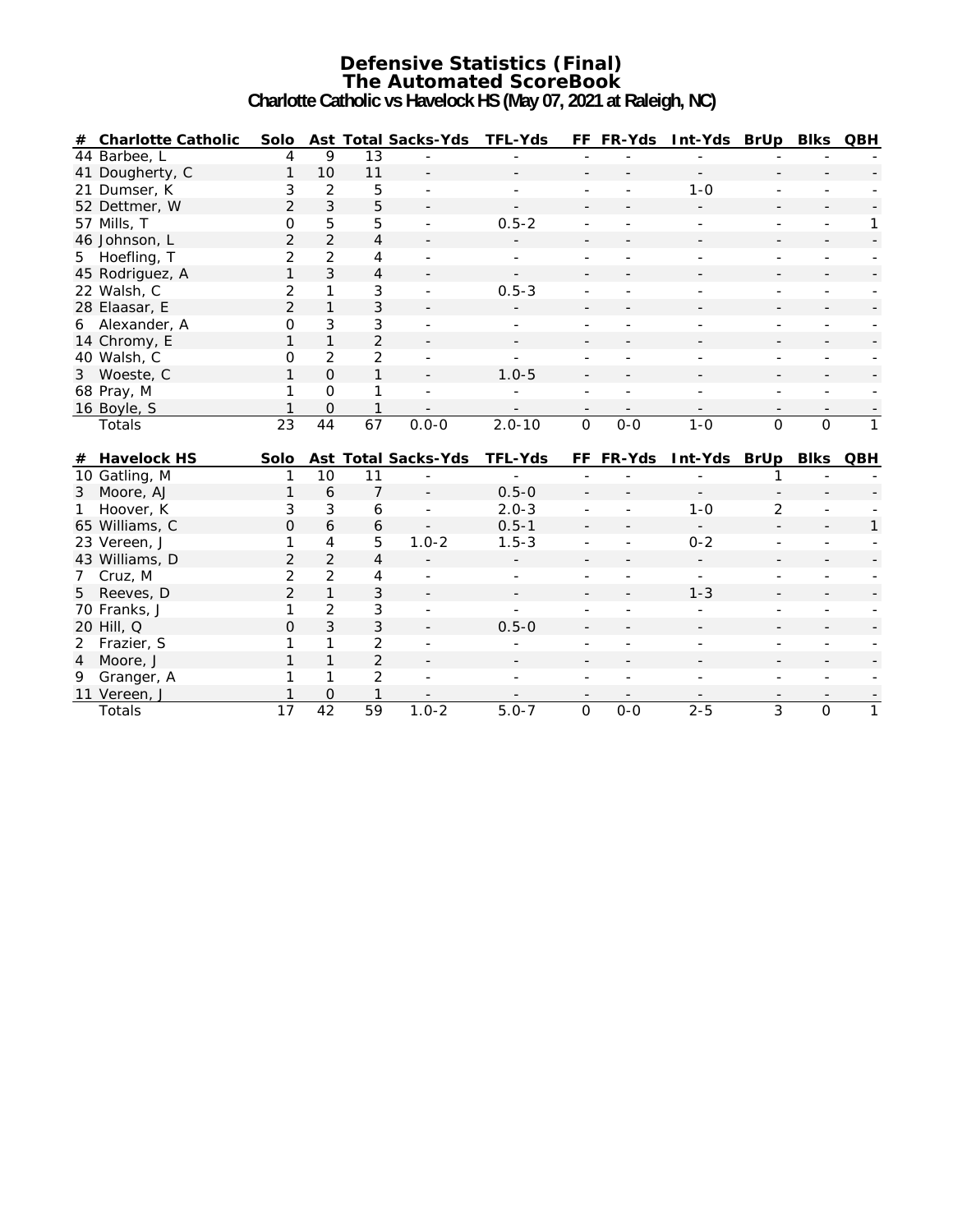#### **Defensive Statistics (Final) The Automated ScoreBook Charlotte Catholic vs Havelock HS (May 07, 2021 at Raleigh, NC)**

|                | # Charlotte Catholic | Solo                 |                             |                                 | Ast Total Sacks-Yds TFL-Yds |                |                          | FF FR-Yds                | Int-Yds BrUp Blks QBH    |                          |                          |                          |
|----------------|----------------------|----------------------|-----------------------------|---------------------------------|-----------------------------|----------------|--------------------------|--------------------------|--------------------------|--------------------------|--------------------------|--------------------------|
|                | 44 Barbee, L         | 4                    | 9                           | 13                              |                             |                |                          |                          |                          |                          |                          |                          |
|                | 41 Dougherty, C      | 1                    | 10                          | 11                              |                             |                |                          |                          | $\blacksquare$           |                          |                          |                          |
|                | 21 Dumser, K         | 3                    | $\overline{2}$              | 5                               |                             |                | $\overline{a}$           |                          | $1 - 0$                  | $\overline{a}$           |                          |                          |
|                | 52 Dettmer, W        | $\overline{2}$       | $\mathbf{3}$                | 5                               |                             |                |                          |                          |                          |                          |                          |                          |
|                | 57 Mills, T          | 0                    | 5                           | 5                               |                             | $0.5 - 2$      |                          |                          |                          |                          |                          | 1                        |
|                | 46 Johnson, L        | 2                    | $\overline{2}$              | $\overline{4}$                  |                             |                |                          |                          |                          |                          |                          |                          |
| 5              | Hoefling, T          | 2                    | $\overline{2}$              | 4                               |                             |                |                          |                          |                          |                          |                          |                          |
|                | 45 Rodriguez, A      | 1                    | 3                           | $\overline{4}$                  |                             |                |                          |                          |                          |                          |                          |                          |
|                | 22 Walsh, C          | 2                    | 1                           | 3                               |                             | $0.5 - 3$      |                          |                          |                          |                          |                          |                          |
|                | 28 Elaasar, E        | $\overline{2}$       | $\mathbf{1}$                | 3                               |                             |                |                          |                          |                          |                          |                          |                          |
|                | 6 Alexander, A       | 0                    | 3                           | 3                               |                             |                |                          |                          |                          |                          |                          |                          |
|                | 14 Chromy, E         | 1                    | $\mathbf{1}$                | $\overline{2}$                  |                             |                |                          |                          |                          |                          |                          |                          |
|                | 40 Walsh, C          | 0                    | $\overline{2}$              | $\overline{2}$                  |                             |                |                          |                          |                          |                          |                          |                          |
|                | 3 Woeste, C          | 1                    | $\Omega$                    | $\mathbf{1}$                    |                             | $1.0 - 5$      |                          |                          |                          |                          |                          |                          |
|                | 68 Pray, M           | 1                    | $\Omega$                    | 1                               |                             |                | $\overline{a}$           |                          |                          | $\overline{a}$           |                          |                          |
|                | 16 Boyle, S          | 1                    | $\Omega$                    | $\mathbf{1}$                    | $\overline{\phantom{a}}$    |                | $\overline{\phantom{a}}$ | $\overline{\phantom{a}}$ | $\overline{\phantom{a}}$ | $\overline{\phantom{a}}$ | $\overline{\phantom{0}}$ | $\overline{\phantom{a}}$ |
|                | Totals               | $\overline{23}$      | 44                          | 67                              | $0.0 - 0$                   | $2.0 - 10$     | $\mathbf{O}$             | $0-0$                    | $1 - 0$                  | $\mathsf{O}$             | $\mathbf 0$              | $\mathbf{1}$             |
|                |                      |                      |                             |                                 |                             |                |                          |                          |                          |                          |                          |                          |
| #              | <b>Havelock HS</b>   | Solo                 |                             |                                 | <b>Ast Total Sacks-Yds</b>  | <b>TFL-Yds</b> |                          | FF FR-Yds                | Int-Yds BrUp Blks QBH    |                          |                          |                          |
|                | 10 Gatling, M        | 1                    | 10                          | 11                              |                             |                |                          |                          |                          |                          |                          |                          |
| 3              | Moore, AJ            | 1                    | 6                           | $\overline{7}$                  |                             | $0.5 - 0$      |                          |                          |                          |                          |                          |                          |
|                | Hoover, K            | 3                    | 3                           | 6                               |                             | $2.0 - 3$      |                          |                          | $1 - 0$                  | $\overline{2}$           |                          |                          |
|                | 65 Williams, C       | $\Omega$             | 6                           | 6                               |                             | $0.5 - 1$      |                          |                          | $\sim$                   |                          |                          | 1                        |
|                | 23 Vereen, J         | 1                    | 4                           | 5                               | $1.0 - 2$                   | $1.5 - 3$      |                          |                          | $0 - 2$                  |                          |                          |                          |
|                | 43 Williams, D       | $\overline{2}$       | $\overline{2}$              | $\overline{4}$                  |                             |                |                          |                          |                          |                          |                          |                          |
| $7^{\circ}$    | Cruz, M              | $\overline{2}$       | $\overline{2}$              | $\overline{4}$                  |                             |                |                          |                          |                          |                          |                          |                          |
| 5              | Reeves, D            | $\overline{2}$       | $\mathbf{1}$                | $\mathfrak{Z}$                  |                             |                |                          |                          | $1 - 3$                  |                          |                          |                          |
|                | 70 Franks, J         | 1                    | $\overline{2}$              | $\mathfrak{Z}$                  |                             |                |                          |                          |                          |                          |                          |                          |
|                | 20 Hill, Q           | $\Omega$             | 3                           | 3                               |                             | $0.5 - 0$      |                          |                          |                          |                          |                          |                          |
| 2              | Frazier, S           | 1                    | $\mathbf{1}$                | $\overline{2}$                  |                             |                |                          |                          |                          |                          |                          |                          |
| $\overline{4}$ | Moore, J             | 1                    | 1                           | $\overline{2}$                  |                             |                |                          |                          |                          |                          |                          |                          |
| 9              | Granger, A           | 1                    | 1                           | 2                               |                             |                |                          |                          |                          |                          |                          |                          |
|                | 11 Vereen, J         | 1<br>$\overline{17}$ | $\Omega$<br>$\overline{42}$ | $\mathbf{1}$<br>$\overline{59}$ | $1.0 - 2$                   | $5.0 - 7$      | $\overline{0}$           | $0-0$                    | $2 - 5$                  | 3                        | $\overline{0}$           | $\overline{1}$           |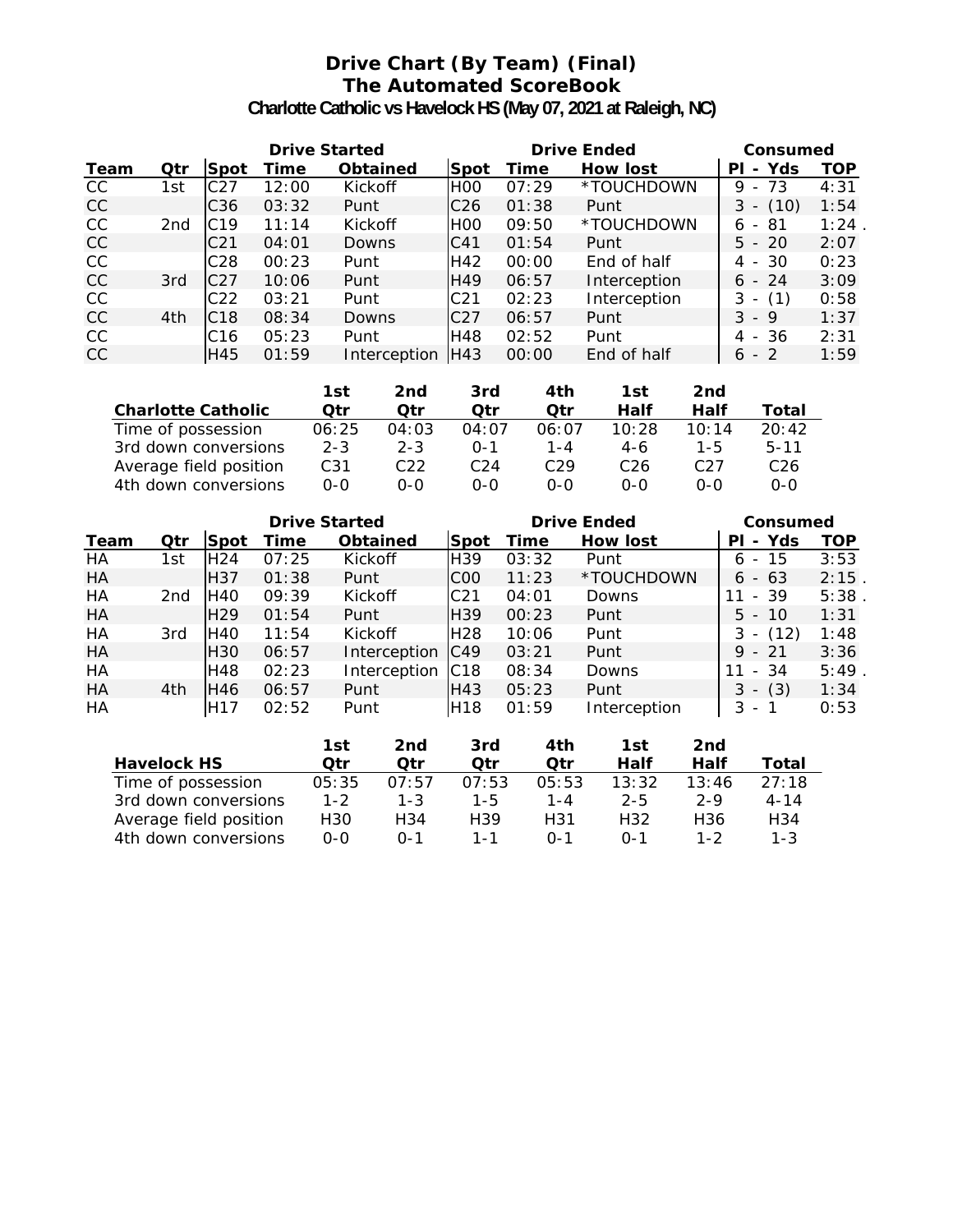## **Drive Chart (By Team) (Final) The Automated ScoreBook**

**Charlotte Catholic vs Havelock HS (May 07, 2021 at Raleigh, NC)**

|           | <b>Drive Started</b> |                  |       |                 |                 | <b>Drive Ended</b> | Consumed        |              |      |
|-----------|----------------------|------------------|-------|-----------------|-----------------|--------------------|-----------------|--------------|------|
| Team      | Qtr                  | lSpot            | Time  | <b>Obtained</b> | <b>Spot</b>     | Time               | <b>How lost</b> | - Yds<br>ΡI  | TOP  |
| CC        | 1st                  | C <sub>27</sub>  | 12:00 | Kickoff         | IHOO            | 07:29              | *TOUCHDOWN      | - 73<br>9    | 4:31 |
| CC        |                      | C <sub>36</sub>  | 03:32 | Punt            | C <sub>26</sub> | 01:38              | Punt            | $3 - (10)$   | 1:54 |
| <b>CC</b> | 2nd                  | C <sub>19</sub>  | 11:14 | Kickoff         | <b>HOO</b>      | 09:50              | *TOUCHDOWN      | - 81<br>6    | 1:24 |
| CC        |                      | C <sub>21</sub>  | 04:01 | Downs           | C41             | 01:54              | Punt            | $5 - 20$     | 2:07 |
| CC        |                      | C <sub>28</sub>  | 00:23 | Punt            | H42             | 00:00              | End of half     | 4 - 30       | 0:23 |
| CC        | 3rd                  | C <sub>2</sub> 7 | 10:06 | Punt            | H49             | 06:57              | Interception    | $6 - 24$     | 3:09 |
| CC        |                      | C <sub>22</sub>  | 03:21 | Punt            | C <sub>21</sub> | 02:23              | Interception    | $- (1)$<br>3 | 0:58 |
| <b>CC</b> | 4th                  | C <sub>18</sub>  | 08:34 | Downs           | C <sub>27</sub> | 06:57              | Punt            | $3 - 9$      | 1:37 |
| CC        |                      | C16              | 05:23 | Punt            | H48             | 02:52              | Punt            | 4 - 36       | 2:31 |
| CC        |                      | H45              | 01:59 | Interception    | IH43            | 00:00              | End of half     | $-2$<br>6    | 1:59 |

|                           | 1st     | 2nd             | 3rd     | 4th     | 1st   | 2nd     |                 |
|---------------------------|---------|-----------------|---------|---------|-------|---------|-----------------|
| <b>Charlotte Catholic</b> | Otr     | Otr             | Otr     | Otr     | Half  | Half    | Total           |
| Time of possession        | 06:25   | 04:03           | 04:07   | 06:07   | 10:28 | 10:14   | 20:42           |
| 3rd down conversions      | $2 - 3$ | $2 - 3$         | $0 - 1$ | $1 - 4$ | 4-6   | $1 - 5$ | $5 - 11$        |
| Average field position    | C31     | C <sub>22</sub> | C24     | C29     | C26   | C27     | C <sub>26</sub> |
| 4th down conversions      | $0 - 0$ | 0-0             | ი-ი     | ი-ი     | $O-O$ | $0 - 0$ | ი-ი             |

| <b>Drive Started</b> |                 |                 |       |                 |                 | <b>Drive Ended</b> | Consumed     |                                      |            |
|----------------------|-----------------|-----------------|-------|-----------------|-----------------|--------------------|--------------|--------------------------------------|------------|
| Team                 | Qtr             | Spot            | Time  | <b>Obtained</b> | Spot            | Time               | How lost     | - Yds<br>PI                          | <b>TOP</b> |
| HA                   | 1st             | H <sub>24</sub> | 07:25 | Kickoff         | H <sub>39</sub> | 03:32              | Punt         | -15<br>6<br>$\overline{\phantom{a}}$ | 3:53       |
| HA                   |                 | H <sub>37</sub> | 01:38 | Punt            | C <sub>00</sub> | 11:23              | *TOUCHDOWN   | $6 - 63$                             | 2:15       |
| HA                   | 2 <sub>nd</sub> | H40             | 09:39 | Kickoff         | C <sub>21</sub> | 04:01              | Downs        | $-39$<br>11                          | 5:38       |
| HA                   |                 | H <sub>29</sub> | 01:54 | Punt            | <b>H39</b>      | 00:23              | Punt         | $5 - 10$                             | 1:31       |
| HA                   | 3rd             | H40             | 11:54 | Kickoff         | H <sub>28</sub> | 10:06              | Punt         | $- (12)$<br>3                        | 1:48       |
| HA                   |                 | H <sub>30</sub> | 06:57 | Interception    | C49             | 03:21              | Punt         | $9 - 21$                             | 3:36       |
| HA                   |                 | H48             | 02:23 | Interception    | IC18            | 08:34              | Downs        | - 34<br>11                           | 5:49       |
| HA                   | 4th             | H46             | 06:57 | Punt            | H43             | 05:23              | Punt         | (3)<br>3<br>$\overline{\phantom{0}}$ | 1:34       |
| HA                   |                 | H <sub>17</sub> | 02:52 | Punt            | H <sub>18</sub> | 01:59              | Interception | 3<br>$\overline{\phantom{a}}$        | 0:53       |

|                        | 1st     | 2nd     | 3rd     | 4th     | 1st     | 2nd     |          |
|------------------------|---------|---------|---------|---------|---------|---------|----------|
| <b>Havelock HS</b>     | Otr     | Otr     | Otr     | Otr     | Half    | Half    | Total    |
| Time of possession     | 05:35   | 07:57   | 07:53   | 05:53   | 13:32   | 13:46   | 27:18    |
| 3rd down conversions   | $1 - 2$ | $1 - 3$ | $1 - 5$ | 1-4     | $2 - 5$ | $2 - 9$ | $4 - 14$ |
| Average field position | H30     | H34     | H39     | H31     | H32     | H36     | H34      |
| 4th down conversions   | 0-0     | በ-1     | 1 - 1   | $0 - 1$ | $0 - 1$ | 1-2     | $1 - 3$  |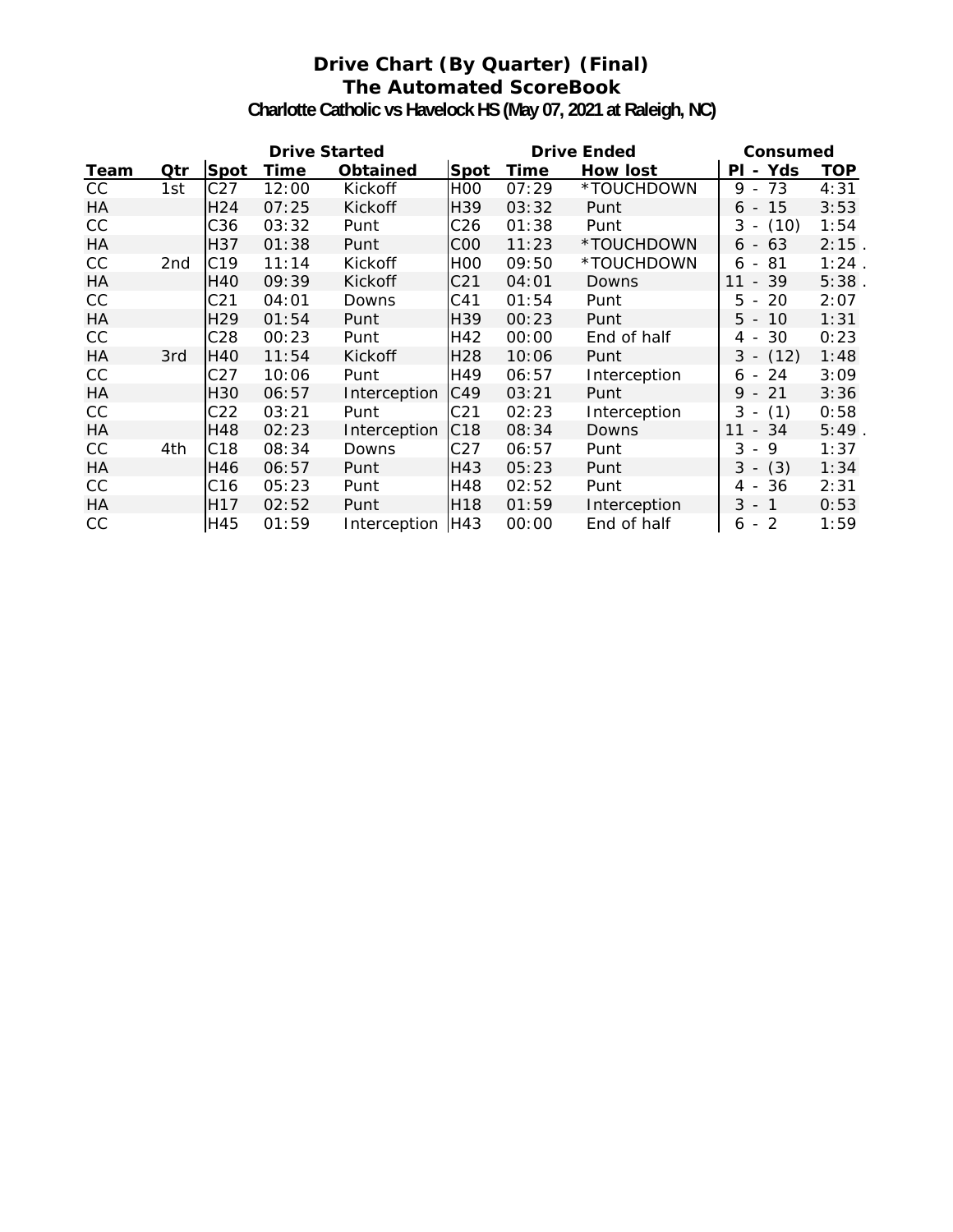## **Drive Chart (By Quarter) (Final) The Automated ScoreBook**

**Charlotte Catholic vs Havelock HS (May 07, 2021 at Raleigh, NC)**

| <b>Drive Started</b> |     |                 |       |                 |                 |       | <b>Drive Ended</b> | Consumed                            |            |
|----------------------|-----|-----------------|-------|-----------------|-----------------|-------|--------------------|-------------------------------------|------------|
| Team                 | Qtr | <b>Spot</b>     | Time  | <b>Obtained</b> | Spot            | Time  | How lost           | - Yds<br>ΡI                         | <b>TOP</b> |
| cc                   | 1st | C27             | 12:00 | Kickoff         | H <sub>0</sub>  | 07:29 | *TOUCHDOWN         | 73<br>9 -                           | 4:31       |
| HA                   |     | H <sub>24</sub> | 07:25 | Kickoff         | H39             | 03:32 | Punt               | 15<br>6 -                           | 3:53       |
| CC                   |     | C36             | 03:32 | Punt            | C <sub>26</sub> | 01:38 | Punt               | (10)<br>$3 -$                       | 1:54       |
| HA                   |     | H37             | 01:38 | Punt            | C <sub>0</sub>  | 11:23 | *TOUCHDOWN         | $6 - 63$                            | 2:15       |
| CC                   | 2nd | C <sub>19</sub> | 11:14 | Kickoff         | H <sub>0</sub>  | 09:50 | *TOUCHDOWN         | -81<br>6<br>$\sim$                  | 1:24       |
| HA                   |     | H40             | 09:39 | Kickoff         | C <sub>21</sub> | 04:01 | Downs              | $-39$<br>11                         | 5:38       |
| CC                   |     | C <sub>21</sub> | 04:01 | Downs           | C <sub>41</sub> | 01:54 | Punt               | 20<br>5<br>$\overline{\phantom{a}}$ | 2:07       |
| HA                   |     | H <sub>29</sub> | 01:54 | Punt            | H <sub>39</sub> | 00:23 | Punt               | $5 - 10$                            | 1:31       |
| CC                   |     | C28             | 00:23 | Punt            | H42             | 00:00 | End of half        | 30<br>4 -                           | 0:23       |
| HA                   | 3rd | H40             | 11:54 | <b>Kickoff</b>  | H <sub>28</sub> | 10:06 | Punt               | $3 - (12)$                          | 1:48       |
| CC                   |     | C27             | 10:06 | Punt            | H49             | 06:57 | Interception       | 24<br>6 -                           | 3:09       |
| HA                   |     | H <sub>30</sub> | 06:57 | Interception    | C49             | 03:21 | Punt               | 9 - 21                              | 3:36       |
| CC                   |     | C22             | 03:21 | Punt            | C <sub>21</sub> | 02:23 | Interception       | $3 - (1)$                           | 0:58       |
| HA                   |     | H48             | 02:23 | Interception    | C <sub>18</sub> | 08:34 | <b>Downs</b>       | 11<br>- 34                          | $5:49$ .   |
| <b>CC</b>            | 4th | C <sub>18</sub> | 08:34 | Downs           | C <sub>27</sub> | 06:57 | Punt               | 3<br>9<br>$\sim$                    | 1:37       |
| НA                   |     | H46             | 06:57 | Punt            | H43             | 05:23 | Punt               | (3)<br>$3 -$                        | 1:34       |
| CC                   |     | C16             | 05:23 | Punt            | H48             | 02:52 | Punt               | 4 - 36                              | 2:31       |
| HA                   |     | H <sub>17</sub> | 02:52 | Punt            | H18             | 01:59 | Interception       | $3 - 1$                             | 0:53       |
| CC                   |     | H45             | 01:59 | Interception    | IH43            | 00:00 | End of half        | $6 - 2$                             | 1:59       |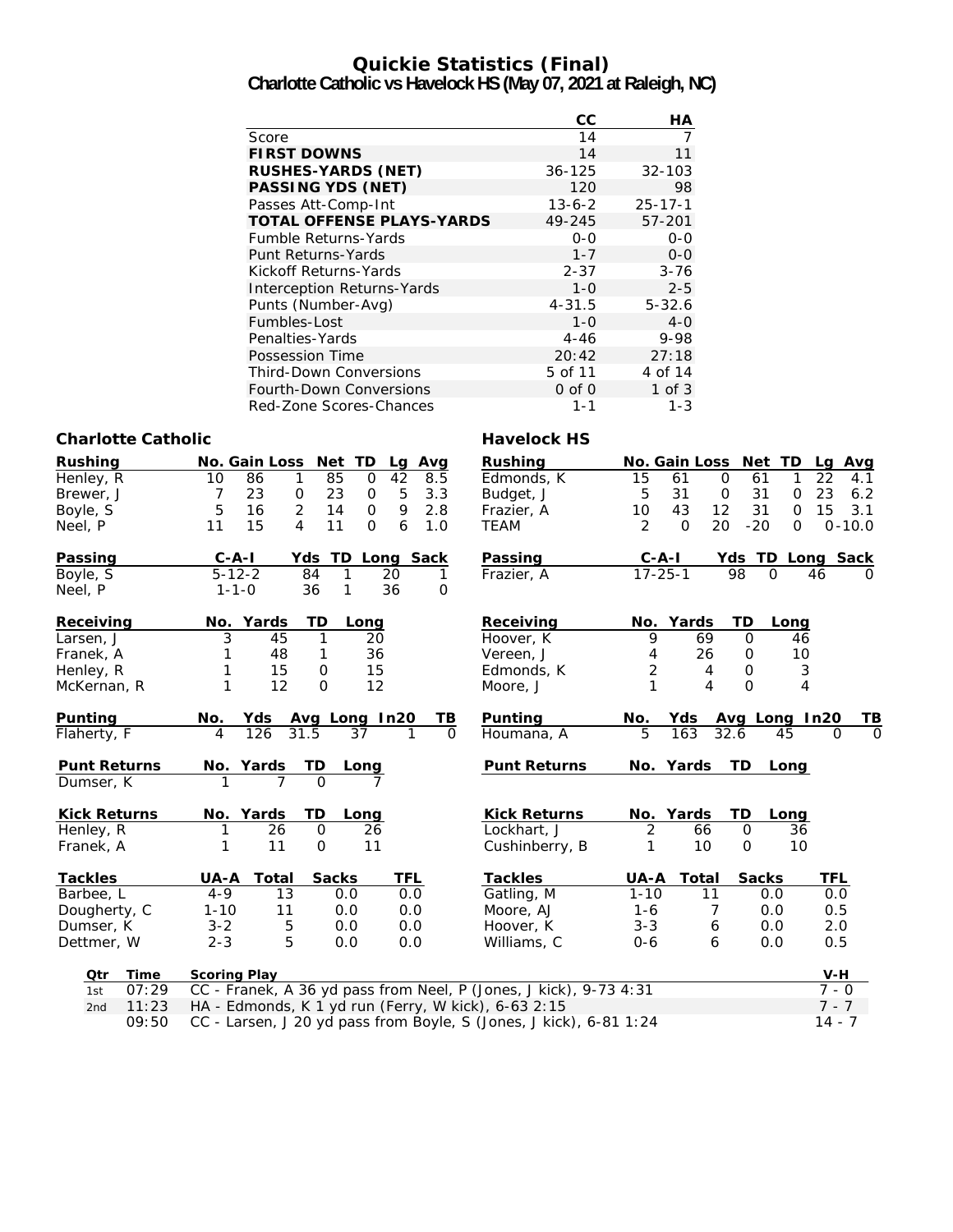# **Quickie Statistics (Final)**

**Charlotte Catholic vs Havelock HS (May 07, 2021 at Raleigh, NC)**

|                                   | CС           | НA            |
|-----------------------------------|--------------|---------------|
| Score                             | 14           |               |
| <b>FIRST DOWNS</b>                | 14           | 11            |
| <b>RUSHES-YARDS (NET)</b>         | $36 - 125$   | $32 - 103$    |
| <b>PASSING YDS (NET)</b>          | 120          | 98            |
| Passes Att-Comp-Int               | $13 - 6 - 2$ | $25 - 17 - 1$ |
| <b>TOTAL OFFENSE PLAYS-YARDS</b>  | 49-245       | 57-201        |
| <b>Fumble Returns-Yards</b>       | $0 - 0$      | $0 - 0$       |
| <b>Punt Returns-Yards</b>         | $1 - 7$      | $0 - 0$       |
| Kickoff Returns-Yards             | $2 - 37$     | $3 - 76$      |
| <b>Interception Returns-Yards</b> | $1 - 0$      | $2 - 5$       |
| Punts (Number-Avg)                | $4 - 31.5$   | $5 - 32.6$    |
| Fumbles-Lost                      | $1 - 0$      | $4-0$         |
| Penalties-Yards                   | $4 - 46$     | 9-98          |
| Possession Time                   | 20:42        | 27:18         |
| <b>Third-Down Conversions</b>     | 5 of 11      | 4 of 14       |
| <b>Fourth-Down Conversions</b>    | $0$ of $0$   | $1$ of $3$    |
| Red-Zone Scores-Chances           | $1 - 1$      | 1-3           |

#### **Charlotte Catholic Charlotte Catholic Charlotte Catholic Charlotte Catholic Charlotte Catholic Charlotte Charlotte Charlotte Charlotte Charlotte Charlotte Charlotte Charlotte Charlotte Charlotte Charlotte Charlotte Charlo**

| טווטוואט טעמווט     |                                                                   |                     |                |                        |                            |                      |
|---------------------|-------------------------------------------------------------------|---------------------|----------------|------------------------|----------------------------|----------------------|
| <b>Rushing</b>      | No. Gain Loss Net TD<br>Lg Avg                                    | <b>Rushing</b>      |                |                        | No. Gain Loss Net TD       | Lg Avg               |
| Henley, R           | 42<br>86<br>1<br>85<br>8.5<br>10<br>$\mathbf 0$                   | Edmonds, K          | 15             | $\mathbf 0$<br>61      | 61<br>1                    | 22<br>4.1            |
| Brewer, J           | 23<br>23<br>5<br>3.3<br>7<br>0<br>$\mathbf 0$                     | Budget, J           | 5              | 31<br>$\boldsymbol{0}$ | 31<br>$\mathbf 0$          | 23<br>6.2            |
| Boyle, S            | 2<br>5<br>14<br>9<br>16<br>$\mathbf 0$<br>2.8                     | Frazier, A          | 10             | 43<br>12               | 31<br>$\Omega$             | 15<br>3.1            |
| Neel, P             | 15<br>$\overline{4}$<br>11<br>6<br>11<br>$\Omega$<br>1.0          | <b>TEAM</b>         | 2              | $\Omega$<br>20         | $-20$<br>$\Omega$          | $0 - 10.0$           |
| Passing             | $C - A - I$<br>Yds<br>TD Long Sack                                | Passing             | $C - A - I$    |                        | Yds TD Long Sack           |                      |
| Boyle, S            | $5 - 12 - 2$<br>84<br>20<br>1<br>1                                | Frazier, A          | $17 - 25 - 1$  |                        | 98<br>$\Omega$             | 46<br>$\Omega$       |
| Neel, P             | 36<br>$1 - 1 - 0$<br>1<br>36<br>$\mathbf{O}$                      |                     |                |                        |                            |                      |
| Receiving           | No. Yards<br>TD<br>Long                                           | Receiving           |                | No. Yards              | TD<br>Long                 |                      |
| Larsen, J           | 3<br>1<br>20<br>45                                                | Hoover, K           | 9              | 69                     | $\Omega$<br>46             |                      |
| Franek, A           | 36<br>1<br>48<br>1                                                | Vereen, J           | 4              | 26                     | 10<br>$\mathbf 0$          |                      |
| Henley, R           | 15<br>15<br>1<br>$\mathbf 0$                                      | Edmonds, K          | $\overline{2}$ | 4                      | $\mathbf 0$<br>$\sqrt{3}$  |                      |
| McKernan, R         | 1<br>12<br>$\mathbf 0$<br>12                                      | Moore, J            | 1              | 4                      | $\Omega$<br>$\overline{4}$ |                      |
| Punting             | No.<br>Yds<br>Avg Long In20<br>TВ                                 | Punting             | No.            | Yds                    | Avg Long In20              | TВ                   |
| Flaherty, F         | 126<br>31.5<br>37<br>$\overline{4}$<br>$\Omega$<br>1              | Houmana, A          | 5              | 163                    | 32.6<br>45                 | $\Omega$<br>$\Omega$ |
| <b>Punt Returns</b> | No. Yards<br>TD<br>Long                                           | <b>Punt Returns</b> |                | No. Yards              | <b>TD</b><br>Long          |                      |
| Dumser, K           | $\Omega$                                                          |                     |                |                        |                            |                      |
| <b>Kick Returns</b> | No. Yards<br>TD<br>Long                                           | <b>Kick Returns</b> |                | No. Yards              | <b>TD</b><br>Long          |                      |
| Henley, R           | 26<br>$\mathsf{O}$<br>26                                          | Lockhart, J         | 2              | 66                     | 0<br>36                    |                      |
| Franek, A           | 11<br>$\mathbf 0$<br>11                                           | Cushinberry, B      | 1              | 10                     | $\Omega$<br>10             |                      |
| <b>Tackles</b>      | <b>Sacks</b><br>TFL<br>UA-A<br>Total                              | <b>Tackles</b>      | UA-A           | Total                  | <b>Sacks</b>               | <b>TFL</b>           |
| Barbee, L           | 13<br>$4 - 9$<br>0.0<br>0.0                                       | Gatling, M          | $1 - 10$       | 11                     | 0.0                        | 0.0                  |
| Dougherty, C        | $1 - 10$<br>11<br>0.0<br>0.0                                      | Moore, AJ           | $1 - 6$        | 7                      | 0.0                        | 0.5                  |
| Dumser, K           | 5<br>0.0<br>$3 - 2$<br>0.0                                        | Hoover, K           | $3 - 3$        | 6                      | 0.0                        | 2.0                  |
| Dettmer, W          | 5<br>$2 - 3$<br>0.0<br>0.0                                        | Williams, C         | $0 - 6$        | 6                      | 0.0                        | 0.5                  |
| Otr<br>Time         | <b>Scoring Play</b>                                               |                     |                |                        |                            | $V-H$                |
| 07:29<br>1st        | CC - Franek, A 36 yd pass from Neel, P (Jones, J kick), 9-73 4:31 |                     |                |                        |                            | $7 - 0$              |
| 11:23<br>2nd        | HA - Edmonds, K 1 yd run (Ferry, W kick), 6-63 2:15               |                     |                |                        |                            | $7 - 7$              |

09:50 CC - Larsen, J 20 yd pass from Boyle, S (Jones, J kick), 6-81 1:24 14 - 7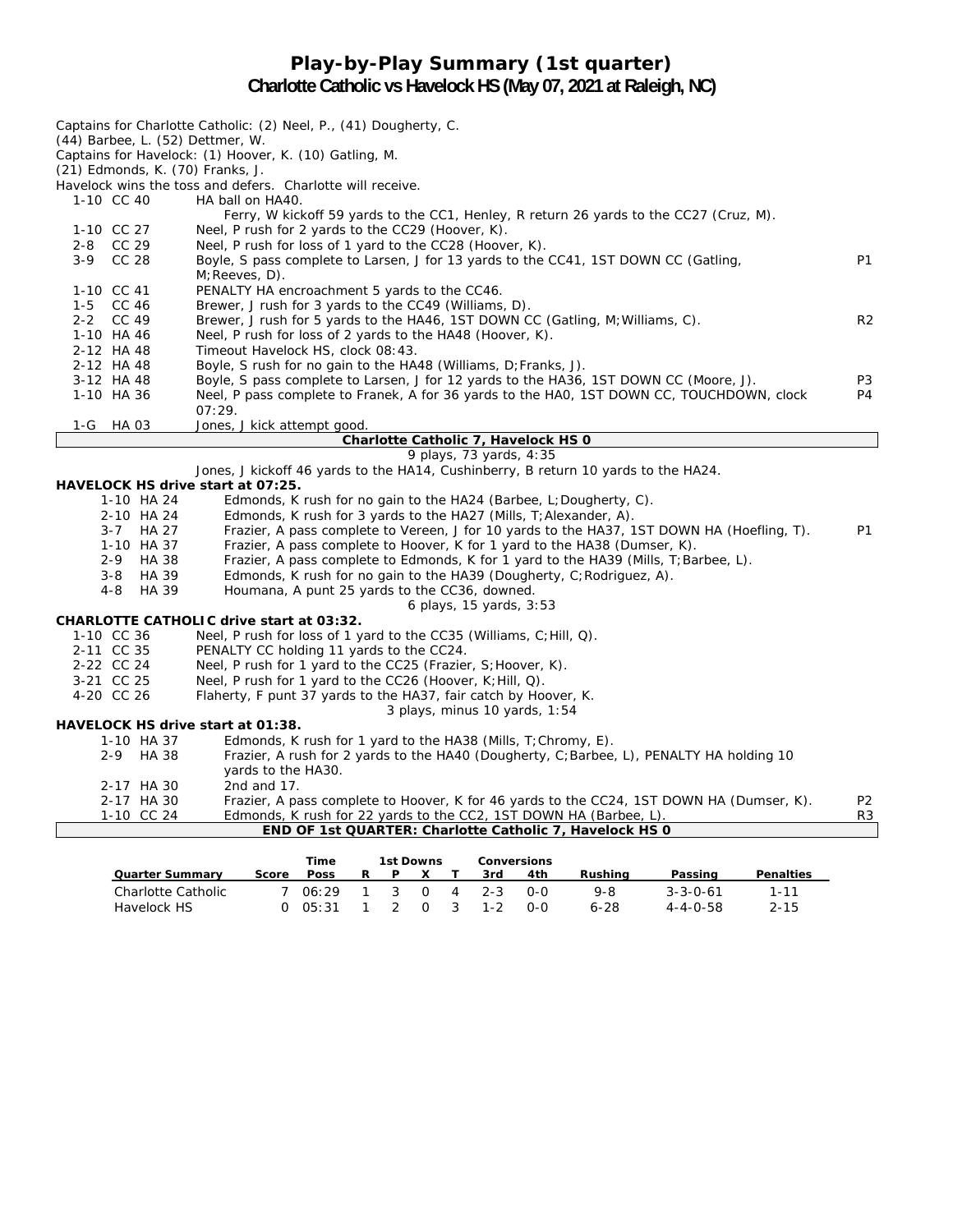### **Play-by-Play Summary (1st quarter) Charlotte Catholic vs Havelock HS (May 07, 2021 at Raleigh, NC)**

| Captains for Charlotte Catholic: (2) Neel, P., (41) Dougherty, C.<br>(44) Barbee, L. (52) Dettmer, W.           |                |
|-----------------------------------------------------------------------------------------------------------------|----------------|
| Captains for Havelock: (1) Hoover, K. (10) Gatling, M.                                                          |                |
| (21) Edmonds, K. (70) Franks, J.                                                                                |                |
| Havelock wins the toss and defers. Charlotte will receive.                                                      |                |
| 1-10 CC 40<br>HA ball on HA40.                                                                                  |                |
| Ferry, W kickoff 59 yards to the CC1, Henley, R return 26 yards to the CC27 (Cruz, M).                          |                |
| 1-10 CC 27<br>Neel, P rush for 2 yards to the CC29 (Hoover, K).                                                 |                |
| 2-8 CC 29<br>Neel, P rush for loss of 1 yard to the CC28 (Hoover, K).                                           |                |
| $3-9$<br>CC 28<br>Boyle, S pass complete to Larsen, J for 13 yards to the CC41, 1ST DOWN CC (Gatling,           | P1             |
| $M$ ; Reeves, D).                                                                                               |                |
| 1-10 CC 41<br>PENALTY HA encroachment 5 yards to the CC46.                                                      |                |
| Brewer, J rush for 3 yards to the CC49 (Williams, D).<br>1-5 CC 46                                              |                |
| 2-2 CC 49<br>Brewer, J rush for 5 yards to the HA46, 1ST DOWN CC (Gatling, M; Williams, C).                     | R <sub>2</sub> |
| 1-10 HA 46<br>Neel, P rush for loss of 2 yards to the HA48 (Hoover, K).                                         |                |
| 2-12 HA 48<br>Timeout Havelock HS, clock 08:43.                                                                 |                |
| 2-12 HA 48<br>Boyle, S rush for no gain to the HA48 (Williams, D; Franks, J).                                   |                |
| 3-12 HA 48<br>Boyle, S pass complete to Larsen, J for 12 yards to the HA36, 1ST DOWN CC (Moore, J).             | P <sub>3</sub> |
| 1-10 HA 36<br>Neel, P pass complete to Franek, A for 36 yards to the HAO, 1ST DOWN CC, TOUCHDOWN, clock         | P4             |
| 07:29.                                                                                                          |                |
| 1-G<br>HA 03<br>Jones, J kick attempt good.                                                                     |                |
| Charlotte Catholic 7, Havelock HS 0                                                                             |                |
| 9 plays, 73 yards, 4:35                                                                                         |                |
| Jones, J kickoff 46 yards to the HA14, Cushinberry, B return 10 yards to the HA24.                              |                |
| HAVELOCK HS drive start at 07:25.                                                                               |                |
| 1-10 HA 24<br>Edmonds, K rush for no gain to the $HA24$ (Barbee, L; Dougherty, C).                              |                |
| Edmonds, K rush for 3 yards to the HA27 (Mills, T; Alexander, A).<br>2-10 HA 24                                 |                |
| Frazier, A pass complete to Vereen, J for 10 yards to the HA37, 1ST DOWN HA (Hoefling, T).<br>$3 - 7$<br>HA 27  | P1             |
| 1-10 HA 37<br>Frazier, A pass complete to Hoover, K for 1 yard to the HA38 (Dumser, K).                         |                |
| <b>HA 38</b><br>Frazier, A pass complete to Edmonds, K for 1 yard to the HA39 (Mills, T; Barbee, L).<br>$2 - 9$ |                |
| <b>HA 39</b><br>Edmonds, K rush for no gain to the HA39 (Dougherty, C; Rodriguez, A).<br>$3 - 8$                |                |
| 4-8<br>HA 39<br>Houmana, A punt 25 yards to the CC36, downed.                                                   |                |
| 6 plays, 15 yards, 3:53<br><b>CHARLOTTE CATHOLIC drive start at 03:32.</b>                                      |                |
| 1-10 CC 36<br>Neel, P rush for loss of 1 yard to the CC35 (Williams, C; Hill, Q).                               |                |
| 2-11 CC 35<br>PENALTY CC holding 11 yards to the CC24.                                                          |                |
| 2-22 CC 24<br>Neel, P rush for 1 yard to the CC25 (Frazier, S; Hoover, K).                                      |                |
| 3-21 CC 25<br>Neel, P rush for 1 yard to the CC26 (Hoover, K; Hill, Q).                                         |                |
| 4-20 CC 26<br>Flaherty, F punt 37 yards to the HA37, fair catch by Hoover, K.                                   |                |
| 3 plays, minus 10 yards, $1:54$                                                                                 |                |
| HAVELOCK HS drive start at 01:38.                                                                               |                |
| 1-10 HA 37<br>Edmonds, K rush for 1 yard to the $HAS8$ (Mills, T; Chromy, E).                                   |                |
| Frazier, A rush for 2 yards to the HA40 (Dougherty, C; Barbee, L), PENALTY HA holding 10<br>HA 38<br>$2 - 9$    |                |
| yards to the HA30.                                                                                              |                |
| 2-17 HA 30<br>2nd and 17.                                                                                       |                |
| 2-17 HA 30<br>Frazier, A pass complete to Hoover, K for 46 yards to the CC24, 1ST DOWN HA (Dumser, K).          | P <sub>2</sub> |
| 1-10 CC 24<br>Edmonds, K rush for 22 yards to the CC2, 1ST DOWN HA (Barbee, L).                                 | R <sub>3</sub> |
| END OF 1st QUARTER: Charlotte Catholic 7, Havelock HS 0                                                         |                |

|                        | <b>1st Downs</b><br>Conversions                                                               |                                      |
|------------------------|-----------------------------------------------------------------------------------------------|--------------------------------------|
| <b>Quarter Summary</b> | Rushina<br>4th<br>3rd                                                                         | <b>Penalties</b><br>Passing          |
| Charlotte Catholic     | 3<br>$2 - 3$<br>9-8<br>$\overline{4}$<br>$\Omega$<br>$O-O$                                    | 1-11<br>$3 - 3 - 0 - 61$<br>$2 - 15$ |
| Havelock HS            | $6 - 28$<br>$1 - 2$<br>0-0<br>$\overline{\mathbf{3}}$<br>$\Omega$<br>$\overline{\phantom{a}}$ | $4 - 4 - 0 - 58$                     |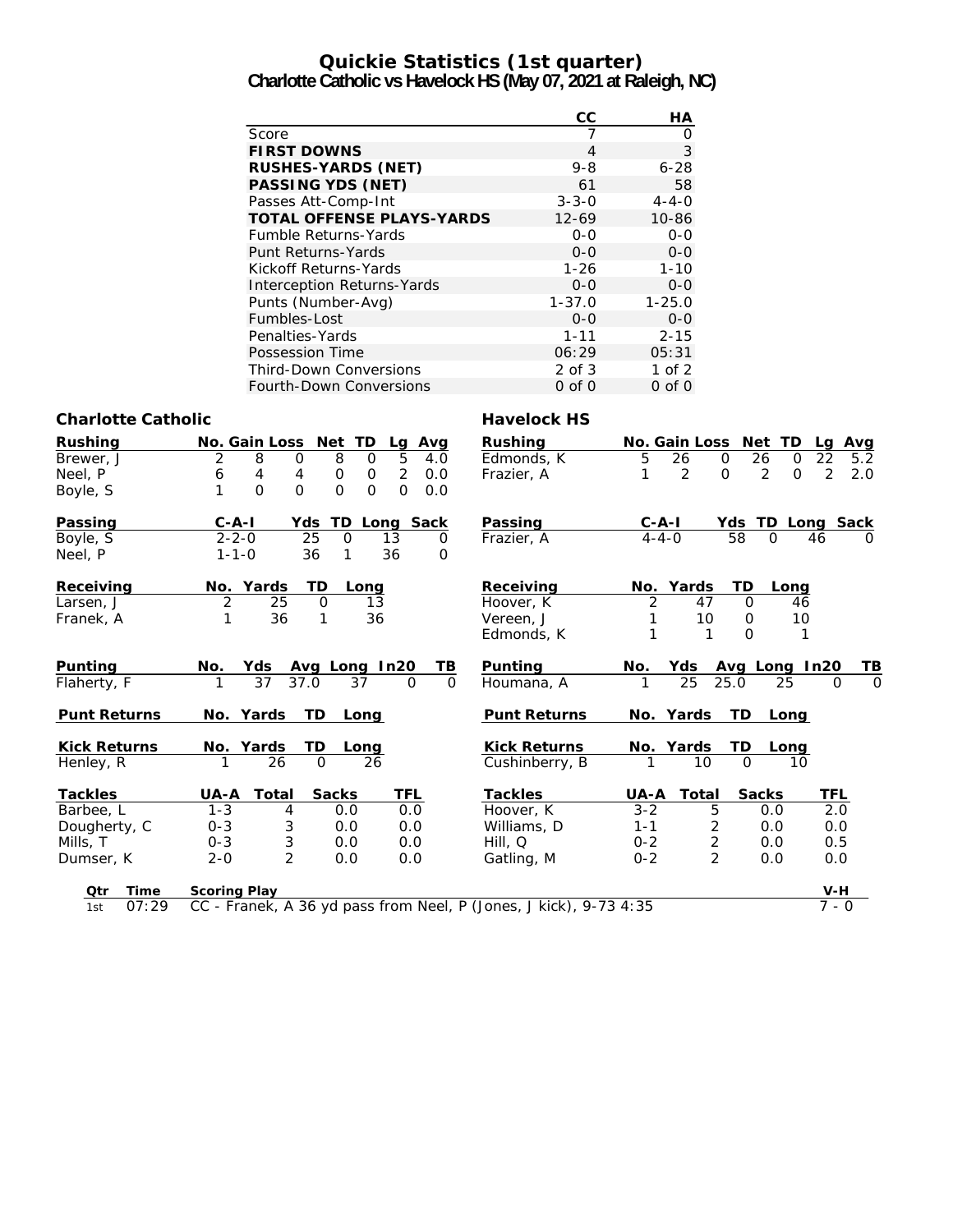# **Quickie Statistics (1st quarter)**

**Charlotte Catholic vs Havelock HS (May 07, 2021 at Raleigh, NC)**

|                                   | СC          | <b>HA</b>   |
|-----------------------------------|-------------|-------------|
| Score                             |             | Ω           |
| <b>FIRST DOWNS</b>                | 4           | 3           |
| <b>RUSHES-YARDS (NET)</b>         | $9 - 8$     | $6 - 28$    |
| <b>PASSING YDS (NET)</b>          | 61          | 58          |
| Passes Att-Comp-Int               | $3 - 3 - 0$ | $4 - 4 - 0$ |
| <b>TOTAL OFFENSE PLAYS-YARDS</b>  | $12 - 69$   | $10 - 86$   |
| <b>Fumble Returns-Yards</b>       | $0 - 0$     | $0 - 0$     |
| Punt Returns-Yards                | $0 - 0$     | $O - O$     |
| Kickoff Returns-Yards             | $1 - 26$    | $1 - 10$    |
| <b>Interception Returns-Yards</b> | $0 - 0$     | $O - O$     |
| Punts (Number-Avg)                | $1 - 37.0$  | $1 - 25.0$  |
| Fumbles-Lost                      | $O - O$     | $0 - 0$     |
| Penalties-Yards                   | $1 - 11$    | $2 - 15$    |
| Possession Time                   | 06:29       | 05:31       |
| <b>Third-Down Conversions</b>     | $2$ of $3$  | 1 of $2$    |
| Fourth-Down Conversions           | $0$ of $0$  | $0$ of $0$  |

#### Charlotte Catholic **Havelock HS**

| <b>Rushing</b>      | <b>No. Gain Loss</b><br>Net<br>TD<br>Lg Avg                                        | <b>Rushing</b>      | No. Gain Loss                      | Net TD<br>Lg               | Avg      |
|---------------------|------------------------------------------------------------------------------------|---------------------|------------------------------------|----------------------------|----------|
| Brewer, J           | 8<br>8<br>2<br>5<br>0<br>$\mathbf 0$<br>4.0                                        | Edmonds, K          | 26<br>5<br>$\Omega$                | 26<br>22<br>$\Omega$       | 5.2      |
| Neel, P             | $\overline{2}$<br>0<br>0.0<br>6<br>4<br>4<br>0                                     | Frazier, A          | 2<br>$\Omega$                      | 2<br>2<br>$\Omega$         | 2.0      |
| Boyle, S            | $\mathbf{O}$<br>$\overline{O}$<br>$\mathbf{O}$<br>$\Omega$<br>$\Omega$<br>1<br>0.0 |                     |                                    |                            |          |
| Passing             | $C - A - I$<br>TD Long Sack<br>Yds                                                 | Passing             | C-A-I                              | Yds TD Long                | Sack     |
| Boyle, S            | $2 - 2 - 0$<br>25<br>$\overline{0}$<br>13<br>0                                     | Frazier, A          | $4 - 4 - 0$                        | 58<br>$\Omega$<br>46       | $\Omega$ |
| Neel, P             | $1 - 1 - 0$<br>36<br>36<br>$\Omega$<br>1                                           |                     |                                    |                            |          |
| Receiving           | TD<br>No. Yards<br>Long                                                            | Receiving           | No. Yards                          | TD<br>Long                 |          |
| Larsen, J           | 2<br>25<br>$\Omega$<br>13                                                          | Hoover, K           | 2<br>47                            | $\Omega$<br>46             |          |
| Franek, A           | 1<br>36<br>1<br>36                                                                 | Vereen, J           | 10                                 | 10<br>$\mathbf 0$          |          |
|                     |                                                                                    | Edmonds, K          | 1<br>1                             | $\Omega$<br>1              |          |
| Punting             | No.<br>Yds<br>Avg Long In20<br>TВ                                                  | Punting             | No.<br>Yds                         | Avg Long In20              | TВ       |
| Flaherty, F         | 37<br>37.0<br>37<br>$\Omega$<br>$\Omega$                                           | Houmana, A          | $\overline{25}$<br>25.0            | 25<br>$\Omega$             | $\Omega$ |
| <b>Punt Returns</b> | No. Yards<br><b>TD</b><br>Long                                                     | <b>Punt Returns</b> | No. Yards                          | <b>TD</b><br>Long          |          |
| <b>Kick Returns</b> | TD<br>No. Yards<br>Long                                                            | <b>Kick Returns</b> | No. Yards                          | TD<br>Long                 |          |
| Henley, R           | 26<br>26<br>$\mathbf 0$                                                            | Cushinberry, B      | 10                                 | 10<br>$\Omega$             |          |
| <b>Tackles</b>      | <b>Sacks</b><br>TFL<br>Total<br><b>UA-A</b>                                        | <b>Tackles</b>      | <b>UA-A</b><br>Total               | <b>TFL</b><br><b>Sacks</b> |          |
| Barbee, L           | $1 - 3$<br>0.0<br>4<br>0.0                                                         | Hoover, K           | $3 - 2$<br>5                       | 2.0<br>0.0                 |          |
| Dougherty, C        | 3<br>$0 - 3$<br>0.0<br>0.0                                                         | Williams, D         | 2<br>$1 - 1$                       | 0.0<br>0.0                 |          |
| Mills, T            | 3<br>$0 - 3$<br>0.0<br>0.0                                                         | Hill, Q             | $\overline{\mathbf{c}}$<br>$0 - 2$ | 0.5<br>0.0                 |          |
| Dumser, K           | $\overline{2}$<br>$2 - 0$<br>0.0<br>0.0                                            | Gatling, M          | $\overline{2}$<br>$0 - 2$          | 0.0<br>0.0                 |          |
| Time<br>Qtr         | <b>Scoring Play</b>                                                                |                     |                                    | $V-H$                      |          |
| 07:29<br>1st        | CC - Franek, A 36 yd pass from Neel, P (Jones, J kick), 9-73 4:35                  |                     |                                    | $7 - 0$                    |          |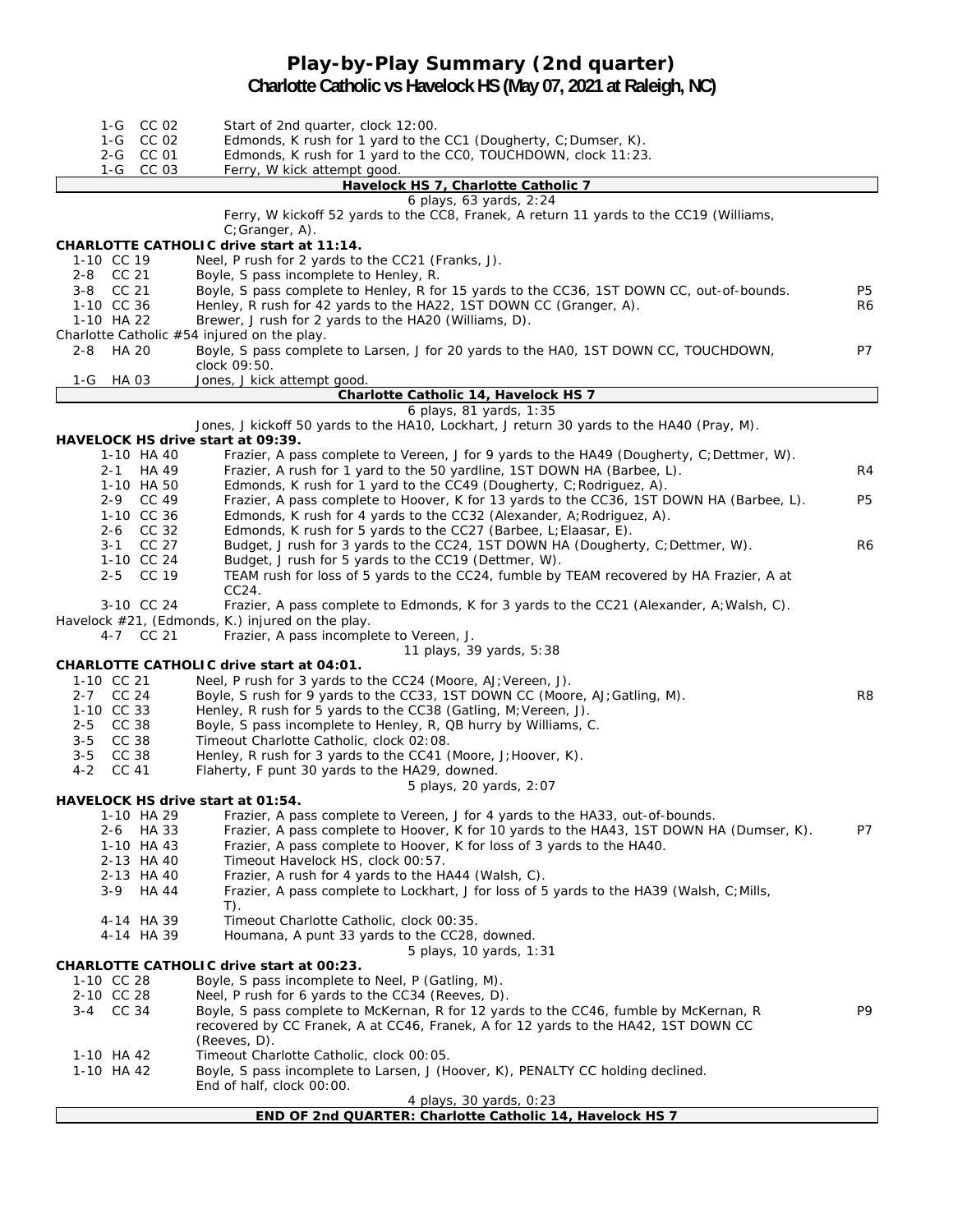### **Play-by-Play Summary (2nd quarter) Charlotte Catholic vs Havelock HS (May 07, 2021 at Raleigh, NC)**

| 1-G CC 02                         | Start of 2nd quarter, clock 12:00.                                                                                                                                |                |
|-----------------------------------|-------------------------------------------------------------------------------------------------------------------------------------------------------------------|----------------|
| 1-G CC 02                         | Edmonds, K rush for 1 yard to the CC1 (Dougherty, C; Dumser, K).                                                                                                  |                |
| 2-G CC 01                         | Edmonds, K rush for 1 yard to the CCO, TOUCHDOWN, clock 11:23.                                                                                                    |                |
| 1-G CC 03                         | Ferry, W kick attempt good.                                                                                                                                       |                |
|                                   | Havelock HS 7, Charlotte Catholic 7                                                                                                                               |                |
|                                   | 6 plays, 63 yards, 2:24                                                                                                                                           |                |
|                                   | Ferry, W kickoff 52 yards to the CC8, Franek, A return 11 yards to the CC19 (Williams,                                                                            |                |
|                                   | C; Granger, A).                                                                                                                                                   |                |
|                                   | CHARLOTTE CATHOLIC drive start at 11:14.                                                                                                                          |                |
| 1-10 CC 19<br>2-8 CC 21           | Neel, P rush for 2 yards to the CC21 (Franks, J).<br>Boyle, S pass incomplete to Henley, R.                                                                       |                |
| 3-8 CC 21                         | Boyle, S pass complete to Henley, R for 15 yards to the CC36, 1ST DOWN CC, out-of-bounds.                                                                         | P <sub>5</sub> |
| 1-10 CC 36                        | Henley, R rush for 42 yards to the HA22, 1ST DOWN CC (Granger, A).                                                                                                | R6             |
| 1-10 HA 22                        | Brewer, J rush for 2 yards to the HA20 (Williams, D).                                                                                                             |                |
|                                   | Charlotte Catholic #54 injured on the play.                                                                                                                       |                |
| <b>HA 20</b><br>2-8               | Boyle, S pass complete to Larsen, J for 20 yards to the HAO, 1ST DOWN CC, TOUCHDOWN,                                                                              | P7             |
|                                   | clock 09:50.                                                                                                                                                      |                |
| 1-G<br>HA 03                      | Jones, J kick attempt good.                                                                                                                                       |                |
|                                   | Charlotte Catholic 14, Havelock HS 7                                                                                                                              |                |
|                                   | 6 plays, 81 yards, 1:35                                                                                                                                           |                |
|                                   | Jones, J kickoff 50 yards to the HA10, Lockhart, J return 30 yards to the HA40 (Pray, M).                                                                         |                |
| HAVELOCK HS drive start at 09:39. |                                                                                                                                                                   |                |
| 1-10 HA 40                        | Frazier, A pass complete to Vereen, J for 9 yards to the HA49 (Dougherty, C; Dettmer, W).                                                                         |                |
| 2-1 HA 49                         | Frazier, A rush for 1 yard to the 50 yardline, 1ST DOWN HA (Barbee, L).                                                                                           | R4             |
| 1-10 HA 50                        | Edmonds, K rush for 1 yard to the CC49 (Dougherty, C; Rodriguez, A).                                                                                              | P <sub>5</sub> |
| 2-9 CC 49<br>1-10 CC 36           | Frazier, A pass complete to Hoover, K for 13 yards to the CC36, 1ST DOWN HA (Barbee, L).<br>Edmonds, K rush for 4 yards to the CC32 (Alexander, A; Rodriguez, A). |                |
| 2-6 CC 32                         | Edmonds, K rush for 5 yards to the CC27 (Barbee, L; Elaasar, E).                                                                                                  |                |
| 3-1 CC 27                         | Budget, J rush for 3 yards to the CC24, 1ST DOWN HA (Dougherty, C; Dettmer, W).                                                                                   | R6             |
| 1-10 CC 24                        | Budget, J rush for 5 yards to the CC19 (Dettmer, W).                                                                                                              |                |
| 2-5 CC 19                         | TEAM rush for loss of 5 yards to the CC24, fumble by TEAM recovered by HA Frazier, A at                                                                           |                |
|                                   | CC24.                                                                                                                                                             |                |
| 3-10 CC 24                        | Frazier, A pass complete to Edmonds, K for 3 yards to the CC21 (Alexander, A; Walsh, C).                                                                          |                |
|                                   | Havelock #21, (Edmonds, K.) injured on the play.                                                                                                                  |                |
| 4-7 CC 21                         | Frazier, A pass incomplete to Vereen, J.                                                                                                                          |                |
|                                   | 11 plays, 39 yards, 5:38                                                                                                                                          |                |
|                                   | CHARLOTTE CATHOLIC drive start at 04:01.                                                                                                                          |                |
| 1-10 CC 21                        | Neel, P rush for 3 yards to the CC24 (Moore, AJ; Vereen, J).                                                                                                      |                |
| 2-7 CC 24<br>1-10 CC 33           | Boyle, S rush for 9 yards to the CC33, 1ST DOWN CC (Moore, AJ; Gatling, M).                                                                                       | R <sub>8</sub> |
| CC 38<br>$2 - 5$                  | Henley, R rush for 5 yards to the CC38 (Gatling, M; Vereen, J).                                                                                                   |                |
| $3 - 5$<br>CC 38                  | Boyle, S pass incomplete to Henley, R, QB hurry by Williams, C.<br>Timeout Charlotte Catholic, clock 02:08.                                                       |                |
| $3 - 5$<br>CC 38                  | Henley, R rush for 3 yards to the CC41 (Moore, J; Hoover, K).                                                                                                     |                |
| CC 41<br>$4 - 2$                  | Flaherty, F punt 30 yards to the HA29, downed.                                                                                                                    |                |
|                                   | 5 plays, 20 yards, 2:07                                                                                                                                           |                |
| HAVELOCK HS drive start at 01:54. |                                                                                                                                                                   |                |
| 1-10 HA 29                        | Frazier, A pass complete to Vereen, J for 4 yards to the HA33, out-of-bounds.                                                                                     |                |
| 2-6 HA 33                         | Frazier, A pass complete to Hoover, K for 10 yards to the HA43, 1ST DOWN HA (Dumser, K).                                                                          | <b>P7</b>      |
| 1-10 HA 43                        | Frazier, A pass complete to Hoover, K for loss of 3 yards to the HA40.                                                                                            |                |
| 2-13 HA 40                        | Timeout Havelock HS, clock 00:57.                                                                                                                                 |                |
| 2-13 HA 40                        | Frazier, A rush for 4 yards to the HA44 (Walsh, C).                                                                                                               |                |
| 3-9 HA 44                         | Frazier, A pass complete to Lockhart, J for loss of 5 yards to the HA39 (Walsh, C; Mills,                                                                         |                |
|                                   | $T$ ).                                                                                                                                                            |                |
| 4-14 HA 39                        | Timeout Charlotte Catholic, clock 00:35.                                                                                                                          |                |
| 4-14 HA 39                        | Houmana, A punt 33 yards to the CC28, downed.<br>5 plays, 10 yards, 1:31                                                                                          |                |
|                                   | CHARLOTTE CATHOLIC drive start at 00:23.                                                                                                                          |                |
| 1-10 CC 28                        | Boyle, S pass incomplete to Neel, P (Gatling, M).                                                                                                                 |                |
| 2-10 CC 28                        | Neel, P rush for 6 yards to the CC34 (Reeves, D).                                                                                                                 |                |
| 3-4 CC 34                         | Boyle, S pass complete to McKernan, R for 12 yards to the CC46, fumble by McKernan, R                                                                             | P9             |
|                                   | recovered by CC Franek, A at CC46, Franek, A for 12 yards to the HA42, 1ST DOWN CC                                                                                |                |
|                                   | (Reeves, D).                                                                                                                                                      |                |
| 1-10 HA 42                        | Timeout Charlotte Catholic, clock 00:05.                                                                                                                          |                |
| 1-10 HA 42                        | Boyle, S pass incomplete to Larsen, J (Hoover, K), PENALTY CC holding declined.                                                                                   |                |
|                                   | End of half, clock 00:00.                                                                                                                                         |                |
|                                   | 4 plays, 30 yards, 0:23                                                                                                                                           |                |
|                                   | END OF 2nd QUARTER: Charlotte Catholic 14, Havelock HS 7                                                                                                          |                |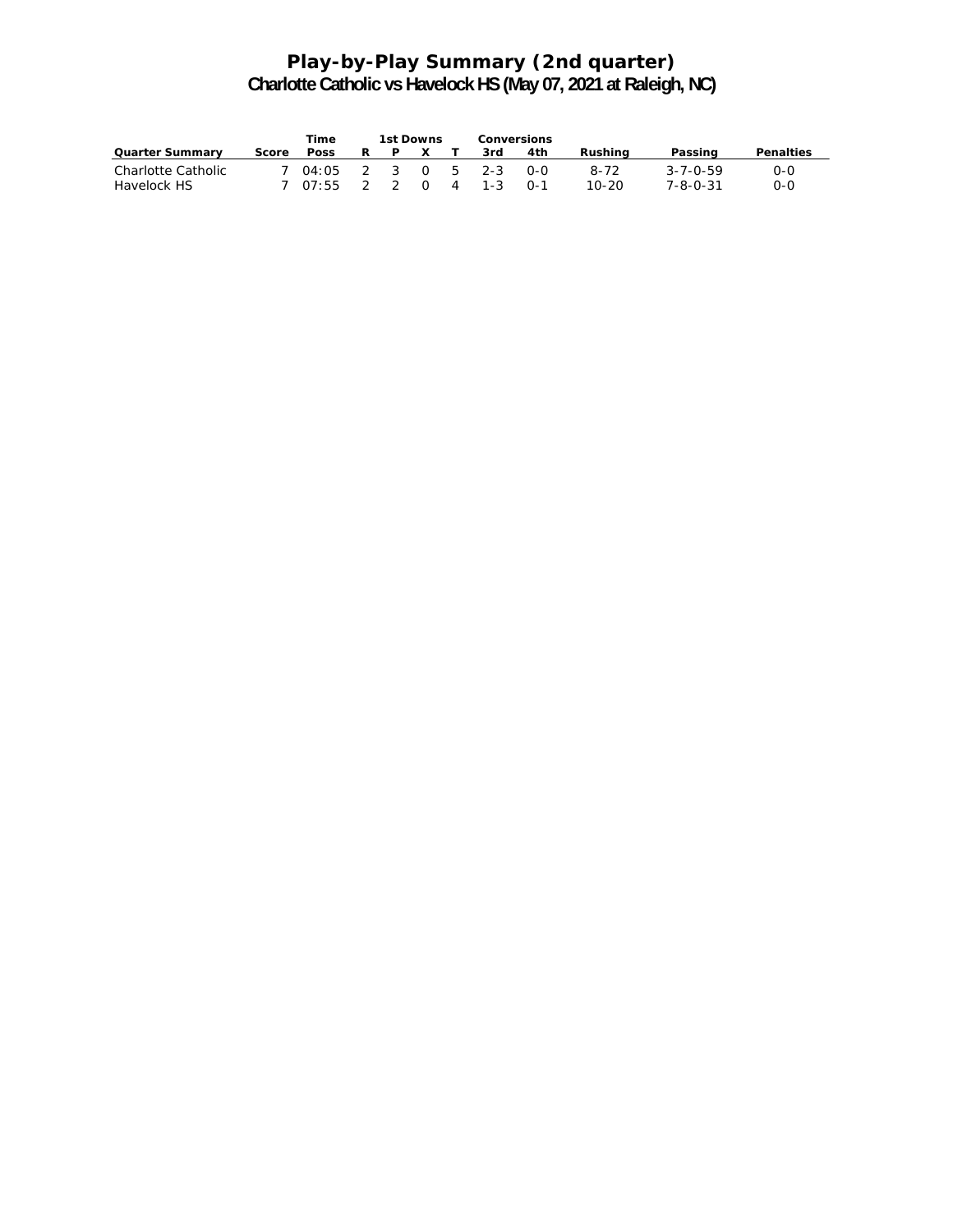## **Play-by-Play Summary (2nd quarter) Charlotte Catholic vs Havelock HS (May 07, 2021 at Raleigh, NC)**

|                        |       | Time                    | 1st Downs |  | Conversions |     |         |          |           |
|------------------------|-------|-------------------------|-----------|--|-------------|-----|---------|----------|-----------|
| <b>Quarter Summary</b> | Score | <b>Poss</b>             | P X       |  | 3rd         | 4th | Rushina | Passing  | Penalties |
| Charlotte Catholic     |       | 7 04:05 2 3 0 5 2-3 0-0 |           |  |             |     | 8-72    | 3-7-0-59 | O-O       |
| Havelock HS            |       | 7 07:55 2 2 0 4 1-3     |           |  |             | റ-1 | 10-20   | 7-8-0-31 | 0-0       |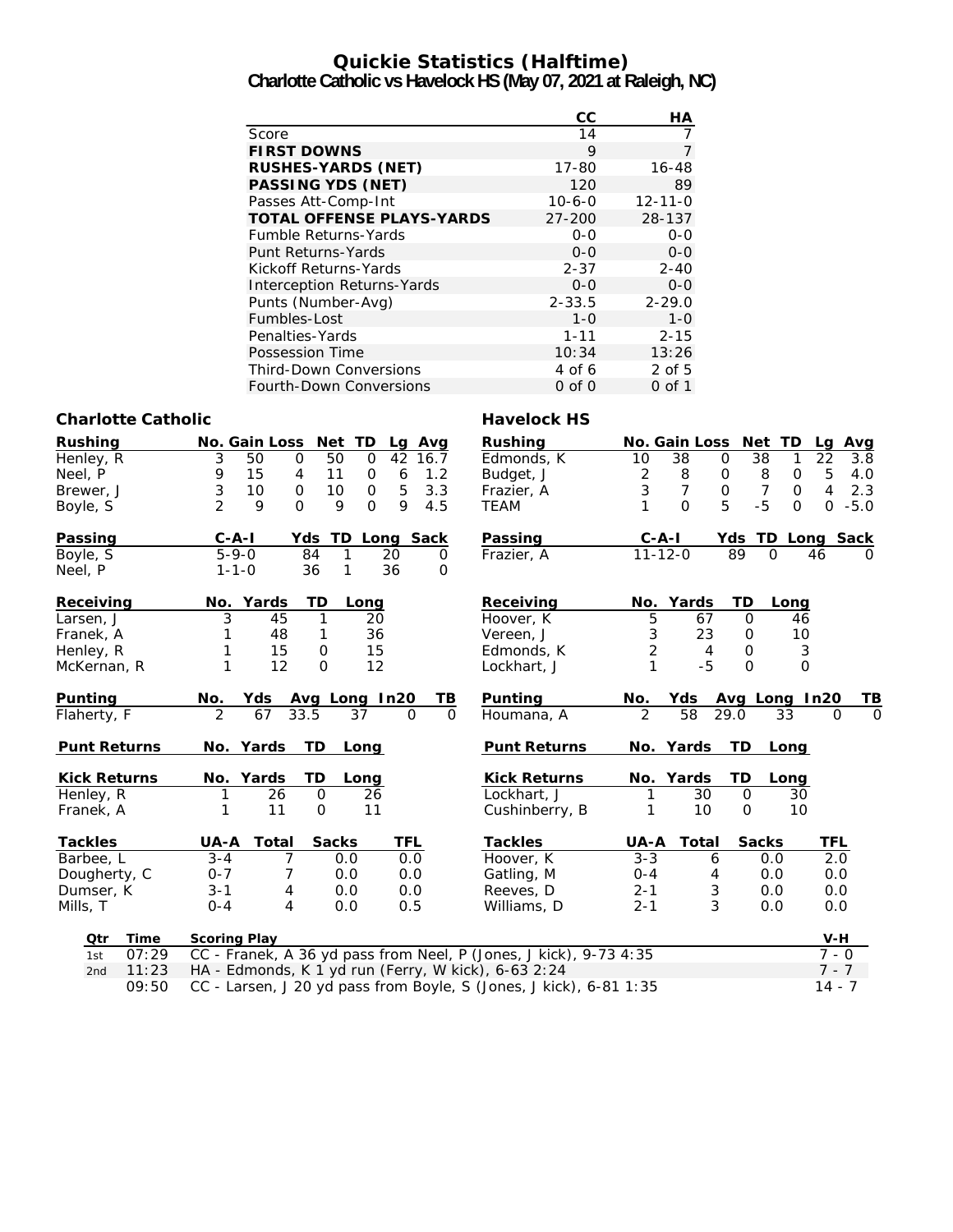## **Quickie Statistics (Halftime)**

**Charlotte Catholic vs Havelock HS (May 07, 2021 at Raleigh, NC)**

|                                   | cc           | НA            |
|-----------------------------------|--------------|---------------|
| Score                             | 14           |               |
| <b>FIRST DOWNS</b>                | 9            |               |
| <b>RUSHES-YARDS (NET)</b>         | 17-80        | $16 - 48$     |
| <b>PASSING YDS (NET)</b>          | 120          | 89            |
| Passes Att-Comp-Int               | $10 - 6 - 0$ | $12 - 11 - 0$ |
| <b>TOTAL OFFENSE PLAYS-YARDS</b>  | $27 - 200$   | 28-137        |
| <b>Fumble Returns-Yards</b>       | $0 - 0$      | $0 - 0$       |
| Punt Returns-Yards                | $0 - 0$      | $0 - 0$       |
| Kickoff Returns-Yards             | $2 - 37$     | $2 - 40$      |
| <b>Interception Returns-Yards</b> | $0 - 0$      | $0 - 0$       |
| Punts (Number-Avg)                | $2 - 33.5$   | $2 - 29.0$    |
| Fumbles-Lost                      | $1 - 0$      | $1 - 0$       |
| Penalties-Yards                   | $1 - 11$     | $2 - 15$      |
| Possession Time                   | 10:34        | 13:26         |
| <b>Third-Down Conversions</b>     | 4 of 6       | $2$ of 5      |
| <b>Fourth-Down Conversions</b>    | 0 of 0       | 0 of 1        |

#### **Charlotte Catholic Charlotte Catholic Charlotte Catholic Charlotte Catholic Charlotte Charlotte Charlotte Charlotte Charlotte Charlotte Charlotte Charlotte Charlotte Charlotte Charlotte Charlotte Charlotte Charlotte Charl**

| <b>Rushing</b>      | No. Gain Loss Net TD<br>Lg Avg                                    | <b>Rushing</b>      |                |                                                      | No. Gain Loss Net TD       | Avg<br>Lg             |
|---------------------|-------------------------------------------------------------------|---------------------|----------------|------------------------------------------------------|----------------------------|-----------------------|
| Henley, R           | 50<br>50<br>$\mathbf 0$<br>42<br>3<br>0<br>16.7                   | Edmonds, K          | 38<br>10       | 0                                                    | 38<br>1                    | 22<br>3.8             |
| Neel, P             | 15<br>9<br>11<br>6<br>1.2<br>4<br>0                               | Budget, J           | $\overline{2}$ | $\begin{array}{c} 8 \\ 7 \end{array}$<br>$\mathsf O$ | 8<br>$\mathsf{O}$          | 5<br>4.0              |
| Brewer, J           | 3<br>$\mathbf 0$<br>5<br>10<br>10<br>3.3<br>$\mathbf 0$           | Frazier, A          | 3              | $\overline{0}$                                       | $\overline{7}$<br>$\Omega$ | $\overline{4}$<br>2.3 |
| Boyle, S            | $\overline{2}$<br>$\mathbf{O}$<br>9<br>9<br>9<br>$\Omega$<br>4.5  | <b>TEAM</b>         |                | 5<br>$\Omega$                                        | $-5$<br>$\Omega$           | $\Omega$<br>$-5.0$    |
| Passing             | $C - A - I$<br>Yds<br>TD Long Sack                                | Passing             | $C - A - I$    |                                                      | Yds TD Long Sack           |                       |
| Boyle, S            | $5 - 9 - 0$<br>84<br>1<br>20<br>0                                 | Frazier, A          | $11 - 12 - 0$  |                                                      | 89<br>$\Omega$             | 46                    |
| Neel, P             | 36<br>1<br>36<br>$1 - 1 - 0$<br>$\Omega$                          |                     |                |                                                      |                            |                       |
| Receiving           | No. Yards<br>TD<br>Long                                           | Receiving           | No. Yards      |                                                      | TD<br>Long                 |                       |
| Larsen, J           | 3<br>45<br>20<br>1                                                | Hoover, K           | 5              | 67                                                   | $\mathbf 0$<br>46          |                       |
| Franek, A           | 36<br>48<br>1                                                     | Vereen, J           | 3              | 23                                                   | 10<br>0                    |                       |
| Henley, R           | 15<br>15<br>0                                                     | Edmonds, K          | $\overline{2}$ | 4                                                    | 3<br>$\mathbf{O}$          |                       |
| McKernan, R         | 12<br>$\Omega$<br>12                                              | Lockhart, J         | 1              | $-5$                                                 | $\mathbf{O}$<br>$\Omega$   |                       |
| Punting             | Yds<br>Avg Long In20<br>No.<br><u>тв</u>                          | Punting             | No.            | Yds                                                  | Avg Long In20              | TВ                    |
| Flaherty, F         | 33.5<br>$\Omega$<br>$\mathcal{P}$<br>67<br>37<br>$\Omega$         | Houmana, A          | $\mathcal{P}$  | 58<br>29.0                                           | 33                         | $\Omega$<br>$\Omega$  |
| <b>Punt Returns</b> | TD<br>No. Yards<br>Long                                           | <b>Punt Returns</b> | No. Yards      |                                                      | TD.<br>Long                |                       |
| <b>Kick Returns</b> | No. Yards<br>TD<br>Long                                           | <b>Kick Returns</b> | No. Yards      |                                                      | TD<br>Long                 |                       |
| Henley, R           | 26<br>$\mathsf{O}\xspace$<br>26<br>1                              | Lockhart, J         |                | 30                                                   | $\mathsf{O}$<br>30         |                       |
| Franek, A           | 11<br>11<br>$\mathbf 0$<br>1                                      | Cushinberry, B      |                | 10                                                   | 10<br>$\mathbf 0$          |                       |
| <b>Tackles</b>      | <b>Sacks</b><br>TFL<br>UA-A<br>Total                              | <b>Tackles</b>      | UA-A           | Total                                                | <b>Sacks</b>               | TFL                   |
| Barbee, L           | 7<br>0.0<br>$3 - 4$<br>0.0                                        | Hoover, K           | $3 - 3$        | 6                                                    | 0.0                        | 2.0                   |
| Dougherty, C        | 0.0<br>$0 - 7$<br>7<br>0.0                                        | Gatling, M          | $0 - 4$        | 4                                                    | 0.0                        | 0.0                   |
| Dumser, K           | $3 - 1$<br>4<br>0.0<br>0.0                                        | Reeves, D           | $2 - 1$        | 3                                                    | 0.0                        | 0.0                   |
| Mills, T            | 4<br>$0 - 4$<br>0.0<br>0.5                                        | Williams, D         | $2 - 1$        | 3                                                    | 0.0                        | 0.0                   |
| Otr<br>Time         | <b>Scoring Play</b>                                               |                     |                |                                                      |                            | $V-H$                 |
| 07:29<br>1st        | CC - Franek, A 36 yd pass from Neel, P (Jones, J kick), 9-73 4:35 |                     |                |                                                      |                            | $7 - 0$               |
| 11:23<br>2nd        | HA - Edmonds, K 1 yd run (Ferry, W kick), 6-63 2:24               |                     |                |                                                      |                            | $7 - 7$               |

09:50 CC - Larsen, J 20 yd pass from Boyle, S (Jones, J kick), 6-81 1:35 14 - 7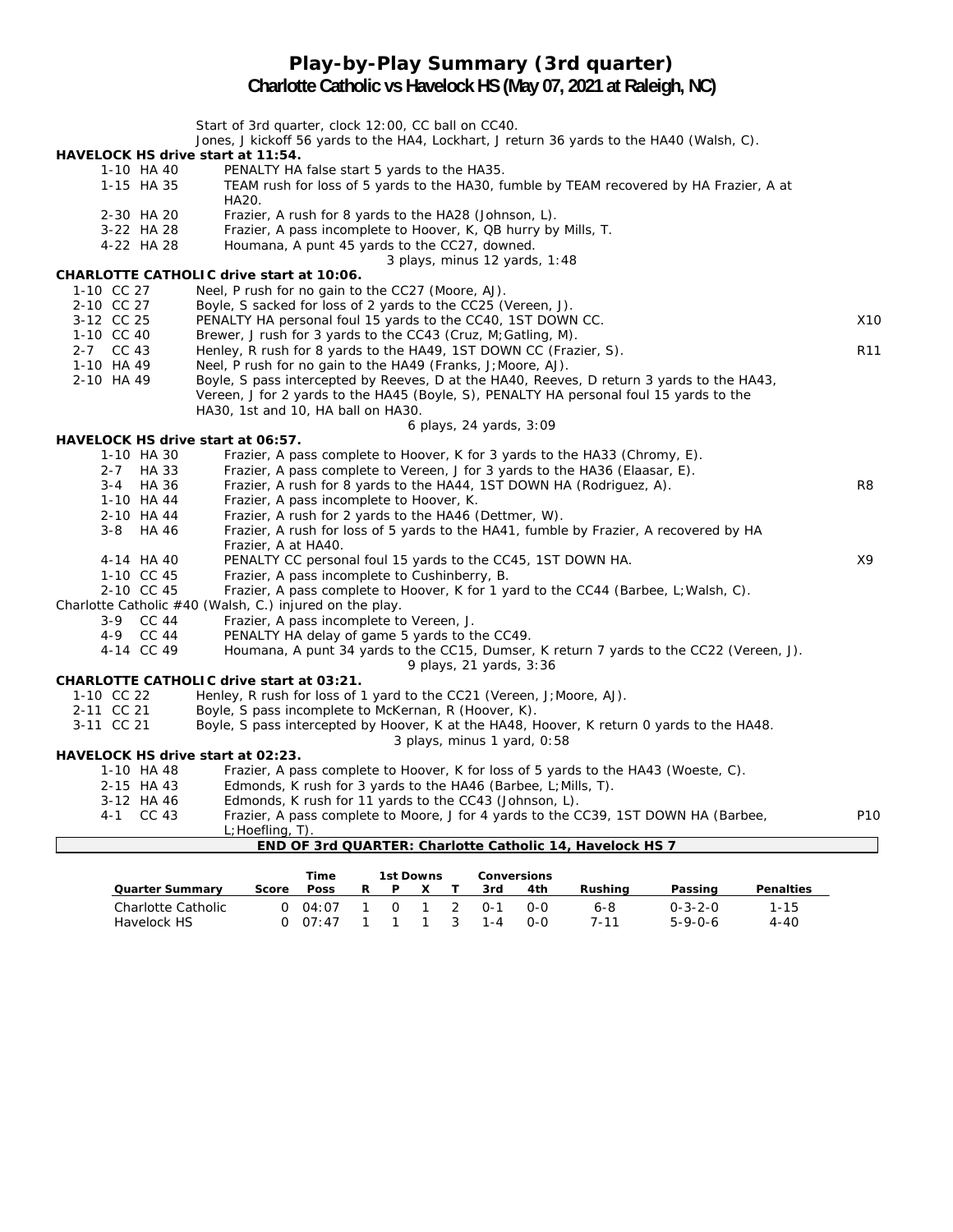## **Play-by-Play Summary (3rd quarter) Charlotte Catholic vs Havelock HS (May 07, 2021 at Raleigh, NC)**

|                                   | Start of 3rd quarter, clock 12:00, CC ball on CC40.<br>Jones, J kickoff 56 yards to the HA4, Lockhart, J return 36 yards to the HA40 (Walsh, C). |                 |
|-----------------------------------|--------------------------------------------------------------------------------------------------------------------------------------------------|-----------------|
| HAVELOCK HS drive start at 11:54. |                                                                                                                                                  |                 |
| 1-10 HA 40                        | PENALTY HA false start 5 yards to the HA35.                                                                                                      |                 |
| 1-15 HA 35                        | TEAM rush for loss of 5 yards to the HA30, fumble by TEAM recovered by HA Frazier, A at                                                          |                 |
|                                   | HA20.                                                                                                                                            |                 |
| 2-30 HA 20                        | Frazier, A rush for 8 yards to the HA28 (Johnson, L).                                                                                            |                 |
| 3-22 HA 28                        | Frazier, A pass incomplete to Hoover, K, QB hurry by Mills, T.                                                                                   |                 |
| 4-22 HA 28                        | Houmana, A punt 45 yards to the CC27, downed.                                                                                                    |                 |
|                                   | 3 plays, minus 12 yards, 1:48                                                                                                                    |                 |
|                                   | <b>CHARLOTTE CATHOLIC drive start at 10:06.</b>                                                                                                  |                 |
| 1-10 CC 27                        | Neel, P rush for no gain to the CC27 (Moore, AJ).                                                                                                |                 |
| 2-10 CC 27                        | Boyle, S sacked for loss of 2 yards to the CC25 (Vereen, J).                                                                                     |                 |
| 3-12 CC 25                        | PENALTY HA personal foul 15 yards to the CC40, 1ST DOWN CC.                                                                                      | X10             |
| 1-10 CC 40                        | Brewer, J rush for 3 yards to the CC43 (Cruz, M; Gatling, M).                                                                                    |                 |
| 2-7 CC 43                         | Henley, R rush for 8 yards to the HA49, 1ST DOWN CC (Frazier, S).                                                                                | R <sub>11</sub> |
| 1-10 HA 49                        | Neel, P rush for no gain to the HA49 (Franks, J; Moore, AJ).                                                                                     |                 |
| 2-10 HA 49                        | Boyle, S pass intercepted by Reeves, D at the HA40, Reeves, D return 3 yards to the HA43,                                                        |                 |
|                                   | Vereen, J for 2 yards to the HA45 (Boyle, S), PENALTY HA personal foul 15 yards to the                                                           |                 |
|                                   | HA30, 1st and 10, HA ball on HA30.                                                                                                               |                 |
|                                   | 6 plays, 24 yards, 3:09                                                                                                                          |                 |
| HAVELOCK HS drive start at 06:57. |                                                                                                                                                  |                 |
| 1-10 HA 30                        | Frazier, A pass complete to Hoover, K for 3 yards to the HA33 (Chromy, E).                                                                       |                 |
| 2-7 HA 33                         | Frazier, A pass complete to Vereen, J for 3 yards to the HA36 (Elaasar, E).                                                                      |                 |
| 3-4 HA 36                         | Frazier, A rush for 8 yards to the HA44, 1ST DOWN HA (Rodriguez, A).                                                                             | R <sub>8</sub>  |
| 1-10 HA 44                        | Frazier, A pass incomplete to Hoover, K.                                                                                                         |                 |
| 2-10 HA 44                        | Frazier, A rush for 2 yards to the HA46 (Dettmer, W).                                                                                            |                 |
| 3-8 HA 46                         | Frazier, A rush for loss of 5 yards to the HA41, fumble by Frazier, A recovered by HA                                                            |                 |
|                                   | Frazier, A at HA40.                                                                                                                              |                 |
| 4-14 HA 40                        | PENALTY CC personal foul 15 yards to the CC45, 1ST DOWN HA.                                                                                      | X9              |
| 1-10 CC 45                        | Frazier, A pass incomplete to Cushinberry, B.                                                                                                    |                 |
| 2-10 CC 45                        | Frazier, A pass complete to Hoover, K for 1 yard to the CC44 (Barbee, L; Walsh, C).                                                              |                 |
|                                   | Charlotte Catholic $#40$ (Walsh, C.) injured on the play.                                                                                        |                 |
| 3-9 CC 44                         | Frazier, A pass incomplete to Vereen, J.                                                                                                         |                 |
| 4-9 CC 44                         | PENALTY HA delay of game 5 yards to the CC49.                                                                                                    |                 |
| 4-14 CC 49                        | Houmana, A punt 34 yards to the CC15, Dumser, K return 7 yards to the CC22 (Vereen, J).                                                          |                 |
|                                   | 9 plays, 21 yards, 3:36                                                                                                                          |                 |
|                                   | <b>CHARLOTTE CATHOLIC drive start at 03:21.</b>                                                                                                  |                 |
| 1-10 CC 22                        | Henley, R rush for loss of 1 yard to the $CC21$ (Vereen, J; Moore, AJ).                                                                          |                 |
| 2-11 CC 21                        | Boyle, S pass incomplete to McKernan, R (Hoover, K).                                                                                             |                 |
| 3-11 CC 21                        | Boyle, S pass intercepted by Hoover, K at the HA48, Hoover, K return 0 yards to the HA48.                                                        |                 |
| HAVELOCK HS drive start at 02:23. | 3 plays, minus 1 yard, 0:58                                                                                                                      |                 |
| 1-10 HA 48                        | Frazier, A pass complete to Hoover, K for loss of 5 yards to the HA43 (Woeste, C).                                                               |                 |
| 2-15 HA 43                        | Edmonds, K rush for 3 yards to the HA46 (Barbee, L; Mills, T).                                                                                   |                 |
| 3-12 HA 46                        | Edmonds, K rush for 11 yards to the CC43 (Johnson, L).                                                                                           |                 |
| 4-1 CC 43                         | Frazier, A pass complete to Moore, J for 4 yards to the CC39, 1ST DOWN HA (Barbee,                                                               | P <sub>10</sub> |
|                                   | L; Hoefling, T).                                                                                                                                 |                 |
|                                   | END OF 3rd QUARTER: Charlotte Catholic 14, Havelock HS 7                                                                                         |                 |
|                                   |                                                                                                                                                  |                 |

|                        |       | Time        |    | 1st Downs |     |         | <b>Conversions</b> |         |                 |                  |
|------------------------|-------|-------------|----|-----------|-----|---------|--------------------|---------|-----------------|------------------|
| <b>Quarter Summary</b> | Score | <b>Poss</b> | R. | P         |     | 3rd     | 4th                | Rushina | Passing         | <b>Penalties</b> |
| Charlotte Catholic     |       | 0.04:07     |    | $\Omega$  | 2   | ∩-1     | 0-0                | 6-8     | $0 - 3 - 2 - 0$ | 1-15             |
| Havelock HS            |       | 0.07:47     |    |           | 1 3 | $1 - 4$ | റ-റ                | 7-11    | $5 - 9 - 0 - 6$ | 4-40             |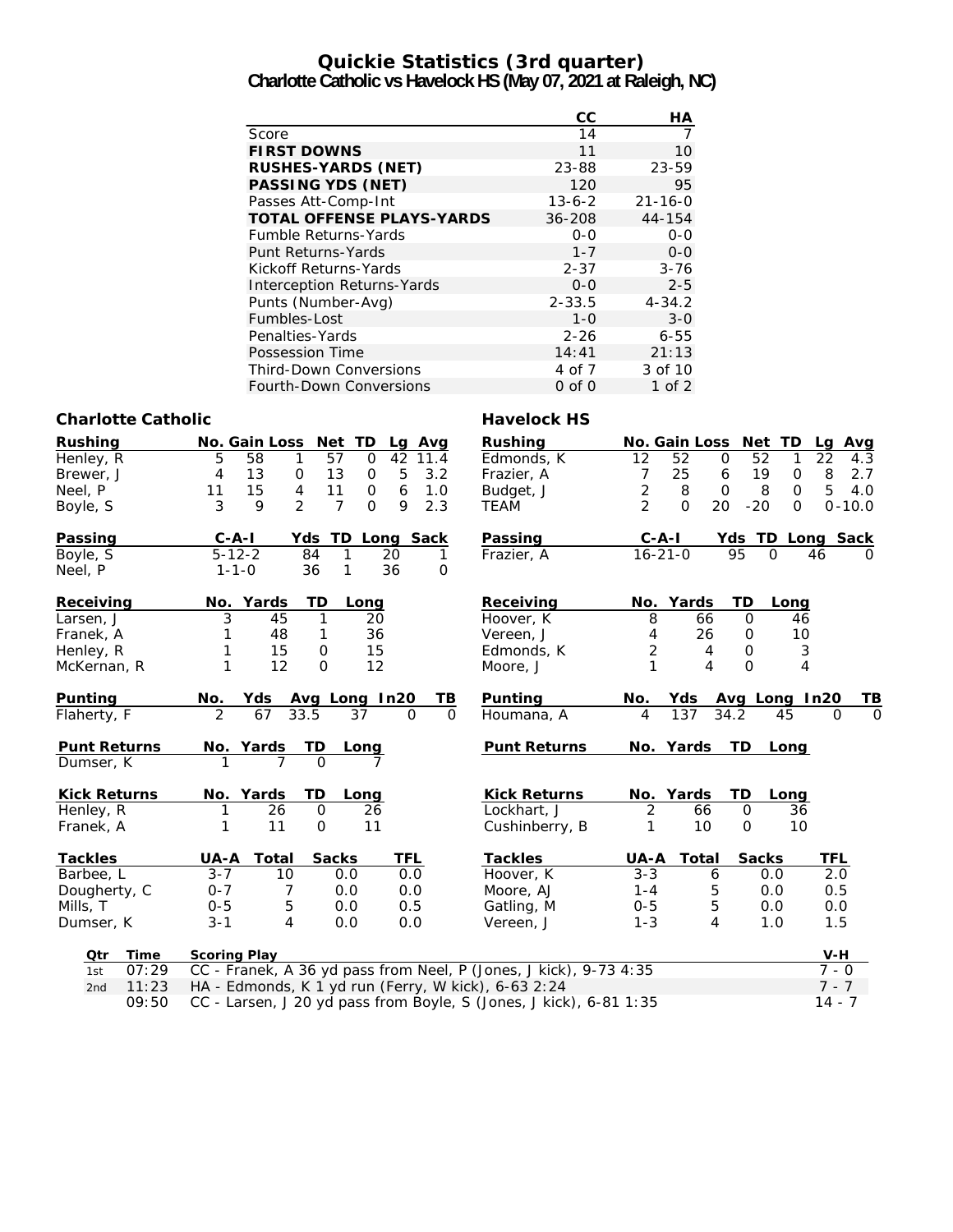# **Quickie Statistics (3rd quarter)**

**Charlotte Catholic vs Havelock HS (May 07, 2021 at Raleigh, NC)**

|                                   | СC           | НA            |
|-----------------------------------|--------------|---------------|
| Score                             | 14           | 7             |
| <b>FIRST DOWNS</b>                | 11           | 10            |
| <b>RUSHES-YARDS (NET)</b>         | 23-88        | 23-59         |
| <b>PASSING YDS (NET)</b>          | 120          | 95            |
| Passes Att-Comp-Int               | $13 - 6 - 2$ | $21 - 16 - 0$ |
| <b>TOTAL OFFENSE PLAYS-YARDS</b>  | $36 - 208$   | 44-154        |
| <b>Fumble Returns-Yards</b>       | $0 - 0$      | $0 - 0$       |
| Punt Returns-Yards                | $1 - 7$      | $O - O$       |
| Kickoff Returns-Yards             | $2 - 37$     | $3 - 76$      |
| <b>Interception Returns-Yards</b> | $0 - 0$      | $2 - 5$       |
| Punts (Number-Avg)                | $2 - 33.5$   | $4 - 34.2$    |
| Fumbles-Lost                      | 1-0          | $3 - 0$       |
| Penalties-Yards                   | $2 - 26$     | $6 - 55$      |
| Possession Time                   | 14:41        | 21:13         |
| <b>Third-Down Conversions</b>     | 4 of 7       | 3 of 10       |
| <b>Fourth-Down Conversions</b>    | $0$ of $0$   | 1 of 2        |

#### **Charlotte Catholic Charlotte Catholic Charlotte Catholic Charlotte Catholic Charlotte Charlotte Charlotte Charlotte Charlotte Charlotte Charlotte Charlotte Charlotte Charlotte Charlotte Charlotte Charlotte Charlotte Charl**

| <b>Rushing</b><br>Henley, R<br>Brewer, J<br>Neel, P<br>Boyle, S | No. Gain Loss Net TD<br>Lg Avg<br>58<br>57<br>42<br>5<br>$\mathbf 0$<br>11.4<br>1<br>5<br>13<br>4<br>13<br>3.2<br>0<br>0<br>15<br>4<br>11<br>$\boldsymbol{6}$<br>11<br>$\mathbf 0$<br>1.0<br>$\overline{2}$<br>3<br>9<br>$\overline{7}$<br>9<br>$\mathsf{O}$<br>2.3 | Rushing<br>Edmonds, K<br>Frazier, A<br>Budget, J<br><b>TEAM</b> | 12<br>52<br>$\overline{7}$<br>25<br>$\sqrt{2}$<br>8<br>$\overline{2}$<br>$\mathbf{O}$ | No. Gain Loss Net TD<br>52<br>$\mathbf 0$<br>1<br>19<br>$\mathsf{O}$<br>6<br>$\mathbf 0$<br>8<br>$\mathbf 0$<br>20<br>$-20$<br>$\Omega$ | La<br>Avg<br>22<br>4.3<br>8<br>2.7<br>5<br>4.0<br>$0 - 10.0$ |
|-----------------------------------------------------------------|---------------------------------------------------------------------------------------------------------------------------------------------------------------------------------------------------------------------------------------------------------------------|-----------------------------------------------------------------|---------------------------------------------------------------------------------------|-----------------------------------------------------------------------------------------------------------------------------------------|--------------------------------------------------------------|
| Passing                                                         | $C - A - I$<br>TD Long Sack<br>Yds                                                                                                                                                                                                                                  | Passing                                                         | $C - A - I$                                                                           | Yds TD Long Sack                                                                                                                        |                                                              |
| Boyle, S<br>Neel, P                                             | $5 - 12 - 2$<br>1<br>84<br>20<br>1<br>36<br>$1 - 1 - 0$<br>36<br>1<br>0                                                                                                                                                                                             | Frazier, A                                                      | $16 - 21 - 0$                                                                         | 95<br>$\Omega$                                                                                                                          | 46<br>$\Omega$                                               |
| Receiving                                                       | TD<br>No. Yards<br>Long                                                                                                                                                                                                                                             | Receiving                                                       | No. Yards                                                                             | TD<br>Long                                                                                                                              |                                                              |
| Larsen, J                                                       | 3<br>45<br>1<br>20                                                                                                                                                                                                                                                  | Hoover, K                                                       | 8<br>66                                                                               | $\mathbf 0$<br>46                                                                                                                       |                                                              |
| Franek, A                                                       | 36<br>48<br>1                                                                                                                                                                                                                                                       | Vereen, J                                                       | 26<br>4                                                                               | 10<br>0                                                                                                                                 |                                                              |
| Henley, R                                                       | 15<br>$\mathsf{O}$<br>15                                                                                                                                                                                                                                            | Edmonds, K                                                      | $\overline{c}$<br>4                                                                   | $\ensuremath{\mathsf{3}}$<br>0                                                                                                          |                                                              |
| McKernan, R                                                     | 1<br>12<br>0<br>12                                                                                                                                                                                                                                                  | Moore, J                                                        | 1<br>4                                                                                | 4<br>$\Omega$                                                                                                                           |                                                              |
| Punting                                                         | Avg Long In20<br>TВ<br>No.<br>Yds                                                                                                                                                                                                                                   | Punting                                                         | No.<br>Yds                                                                            | Avg Long In20                                                                                                                           | TВ                                                           |
| Flaherty, F                                                     | 2<br>67<br>33.5<br>37<br>$\Omega$<br>O                                                                                                                                                                                                                              | Houmana, A                                                      | 137<br>4                                                                              | 34.2<br>45                                                                                                                              | $\Omega$<br>$\Omega$                                         |
| <b>Punt Returns</b>                                             | TD<br>No. Yards<br>Long                                                                                                                                                                                                                                             | <b>Punt Returns</b>                                             | No. Yards                                                                             | <b>TD</b><br>Long                                                                                                                       |                                                              |
| Dumser, K                                                       | $\Omega$<br>7<br>7                                                                                                                                                                                                                                                  |                                                                 |                                                                                       |                                                                                                                                         |                                                              |
| <b>Kick Returns</b>                                             | No. Yards<br>TD<br>Long                                                                                                                                                                                                                                             | <b>Kick Returns</b>                                             | No. Yards                                                                             | TD<br>Long                                                                                                                              |                                                              |
| Henley, R                                                       | 26<br>26<br>$\mathbf 0$                                                                                                                                                                                                                                             | Lockhart, J                                                     | 2<br>66                                                                               | $\mathbf 0$<br>36                                                                                                                       |                                                              |
| Franek, A                                                       | 11<br>$\Omega$<br>11                                                                                                                                                                                                                                                | Cushinberry, B                                                  | 10<br>1                                                                               | $\Omega$<br>10                                                                                                                          |                                                              |
| <b>Tackles</b>                                                  | <b>Sacks</b><br>UA-A<br>Total<br>TFL                                                                                                                                                                                                                                | <b>Tackles</b>                                                  | UA-A<br><b>Total</b>                                                                  | <b>Sacks</b>                                                                                                                            | <b>TFL</b>                                                   |
| Barbee, L                                                       | $3 - 7$<br>10<br>0.0<br>0.0                                                                                                                                                                                                                                         | Hoover, K                                                       | $3 - 3$                                                                               | 6<br>0.0                                                                                                                                | 2.0                                                          |
| Dougherty, C                                                    | $0 - 7$<br>0.0<br>7<br>0.0                                                                                                                                                                                                                                          | Moore, AJ                                                       | $1 - 4$                                                                               | 5<br>0.0                                                                                                                                | 0.5                                                          |
| Mills, T                                                        | 5<br>0.5<br>$0 - 5$<br>0.0                                                                                                                                                                                                                                          | Gatling, M                                                      | $0 - 5$                                                                               | 5<br>0.0                                                                                                                                | 0.0                                                          |
| Dumser, K                                                       | 4<br>$3 - 1$<br>0.0<br>0.0                                                                                                                                                                                                                                          | Vereen, J                                                       | $1 - 3$                                                                               | 4<br>1.0                                                                                                                                | 1.5                                                          |
| Time<br>Qtr                                                     | <b>Scoring Play</b>                                                                                                                                                                                                                                                 |                                                                 |                                                                                       |                                                                                                                                         | $V-H$                                                        |
| 07:29<br>1st                                                    | CC - Franek, A 36 yd pass from Neel, P (Jones, J kick), 9-73 4:35                                                                                                                                                                                                   |                                                                 |                                                                                       |                                                                                                                                         | $7 - 0$                                                      |
| 11:23<br>2nd                                                    | HA - Edmonds, K 1 yd run (Ferry, W kick), 6-63 2:24                                                                                                                                                                                                                 |                                                                 |                                                                                       |                                                                                                                                         | $7 - 7$                                                      |

09:50 CC - Larsen, J 20 yd pass from Boyle, S (Jones, J kick), 6-81 1:35 14 - 7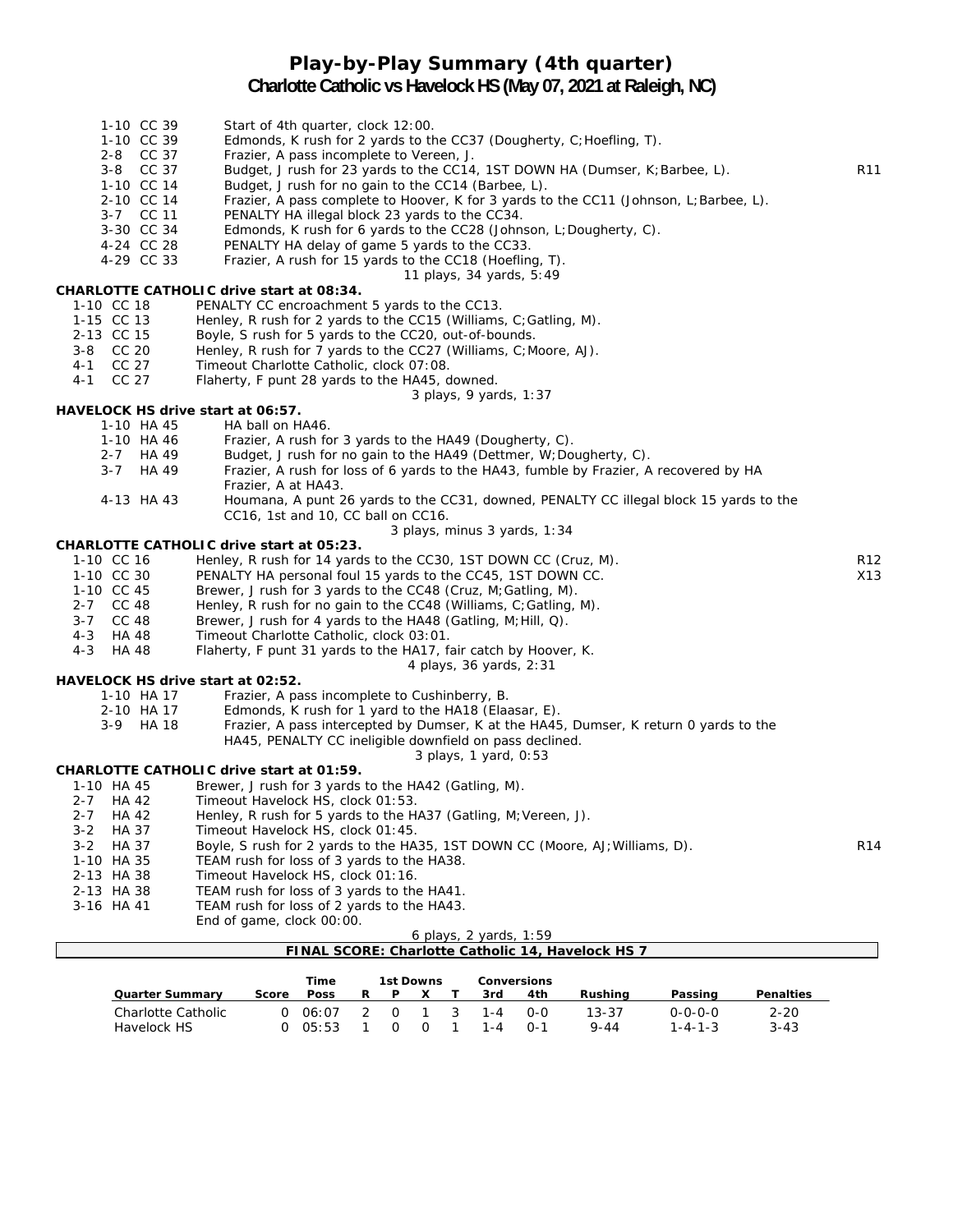# **Play-by-Play Summary (4th quarter)**

#### **Charlotte Catholic vs Havelock HS (May 07, 2021 at Raleigh, NC)**

- 1-10 CC 39 Start of 4th quarter, clock 12:00.
- 1-10 CC 39 Edmonds, K rush for 2 yards to the CC37 (Dougherty, C;Hoefling, T).
- 2-8 CC 37 Frazier, A pass incomplete to Vereen, J.<br>3-8 CC 37 Budget, J rush for 23 yards to the CC14
- Budget, J rush for 23 yards to the CC14, 1ST DOWN HA (Dumser, K;Barbee, L). R11
- 1-10 CC 14 Budget, J rush for no gain to the CC14 (Barbee, L).
- 2-10 CC 14 Frazier, A pass complete to Hoover, K for 3 yards to the CC11 (Johnson, L;Barbee, L).
- 3-7 CC 11 PENALTY HA illegal block 23 yards to the CC34.
- Edmonds, K rush for 6 yards to the CC28 (Johnson, L;Dougherty, C).
- 4-24 CC 28 PENALTY HA delay of game 5 yards to the CC33.<br>4-29 CC 33 Frazier, A rush for 15 vards to the CC18 (Hoeflin
	- Frazier, A rush for 15 yards to the CC18 (Hoefling, T).
	- *11 plays, 34 yards, 5:49*

#### **CHARLOTTE CATHOLIC drive start at 08:34.**

- 1-10 CC 18 PENALTY CC encroachment 5 yards to the CC13.
- 1-15 CC 13 Henley, R rush for 2 yards to the CC15 (Williams, C;Gatling, M).
- 2-13 CC 15 Boyle, S rush for 5 yards to the CC20, out-of-bounds.<br>2-8 CC 20 Henley, R rush for 7 yards to the CC27 (Williams, C:M
	- Henley, R rush for 7 yards to the CC27 (Williams, C;Moore, AJ).
- 4-1 CC 27 Timeout Charlotte Catholic, clock 07:08.
- 4-1 CC 27 Flaherty, F punt 28 yards to the HA45, downed.

*3 plays, 9 yards, 1:37*

#### **HAVELOCK HS drive start at 06:57.**

- 1-10 HA 45 HA ball on HA46.
	- 1-10 HA 46 Frazier, A rush for 3 yards to the HA49 (Dougherty, C).
	- 2-7 HA 49 Budget, J rush for no gain to the HA49 (Dettmer, W; Dougherty, C).
	- 3-7 HA 49 Frazier, A rush for loss of 6 yards to the HA43, fumble by Frazier, A recovered by HA Frazier, A at HA43.
	- 4-13 HA 43 Houmana, A punt 26 yards to the CC31, downed, PENALTY CC illegal block 15 yards to the CC16, 1st and 10, CC ball on CC16.

#### *3 plays, minus 3 yards, 1:34*

#### **CHARLOTTE CATHOLIC drive start at 05:23.**

- 1-10 CC 16 Henley, R rush for 14 yards to the CC30, 1ST DOWN CC (Cruz, M). R12 1-10 CC 30 PENALTY HA personal foul 15 yards to the CC45, 1ST DOWN CC. X13
- 1-10 CC 45 Brewer, J rush for 3 yards to the CC48 (Cruz, M;Gatling, M).
- 2-7 CC 48 Henley, R rush for no gain to the CC48 (Williams, C; Gatling, M).
- 3-7 CC 48 Brewer, J rush for 4 yards to the HA48 (Gatling, M;Hill, Q).
- 4-3 HA 48 Timeout Charlotte Catholic, clock 03:01.
- 4-3 HA 48 Flaherty, F punt 31 yards to the HA17, fair catch by Hoover, K.

*4 plays, 36 yards, 2:31*

#### **HAVELOCK HS drive start at 02:52.**

- 1-10 HA 17 Frazier, A pass incomplete to Cushinberry, B.
- 2-10 HA 17 Edmonds, K rush for 1 yard to the HA18 (Elaasar, E). 3-9 HA 18 Frazier, A pass intercepted by Dumser, K at the HA45, Dumser, K return 0 yards to the
	- HA45, PENALTY CC ineligible downfield on pass declined. *3 plays, 1 yard, 0:53*

- **CHARLOTTE CATHOLIC drive start at 01:59.**<br>1-10 HA 45 Brewer. J rush for 3 vards Brewer, J rush for 3 yards to the HA42 (Gatling, M).
	- 2-7 HA 42 Timeout Havelock HS, clock 01:53.
	- 2-7 HA 42 Henley, R rush for 5 yards to the HA37 (Gatling, M;Vereen, J).
	- 3-2 HA 37 Timeout Havelock HS, clock 01:45.
	- 3-2 HA 37 Boyle, S rush for 2 yards to the HA35, 1ST DOWN CC (Moore, AJ; Williams, D). R14
	- 1-10 HA 35 TEAM rush for loss of 3 yards to the HA38.
	- 2-13 HA 38 Timeout Havelock HS, clock 01:16.
	- 2-13 HA 38 TEAM rush for loss of 3 yards to the HA41.
	- 3-16 HA 41 TEAM rush for loss of 2 yards to the HA43.

End of game, clock 00:00.

| 6 plays, 2 yards, 1:59                            |  |
|---------------------------------------------------|--|
| FINAL SCORE: Charlotte Catholic 14, Havelock HS 7 |  |

|                    |       | Time        | 1st Downs |          |  | Conversions |         |     |          |                 |                  |
|--------------------|-------|-------------|-----------|----------|--|-------------|---------|-----|----------|-----------------|------------------|
| Quarter Summarv    | Score | <b>Poss</b> | R         | P        |  |             | 3rd     | 4th | Rushina  | Passing         | <b>Penalties</b> |
| Charlotte Catholic |       | 06:07       |           | $\Omega$ |  | - 3         | $1 - 4$ | റ-റ | 13-37    | 0-0-0-0         | $2 - 20$         |
| Havelock HS        |       | 05:53       |           |          |  |             | 1 - 4   | O-1 | $9 - 44$ | $1 - 4 - 1 - 3$ | $3 - 43$         |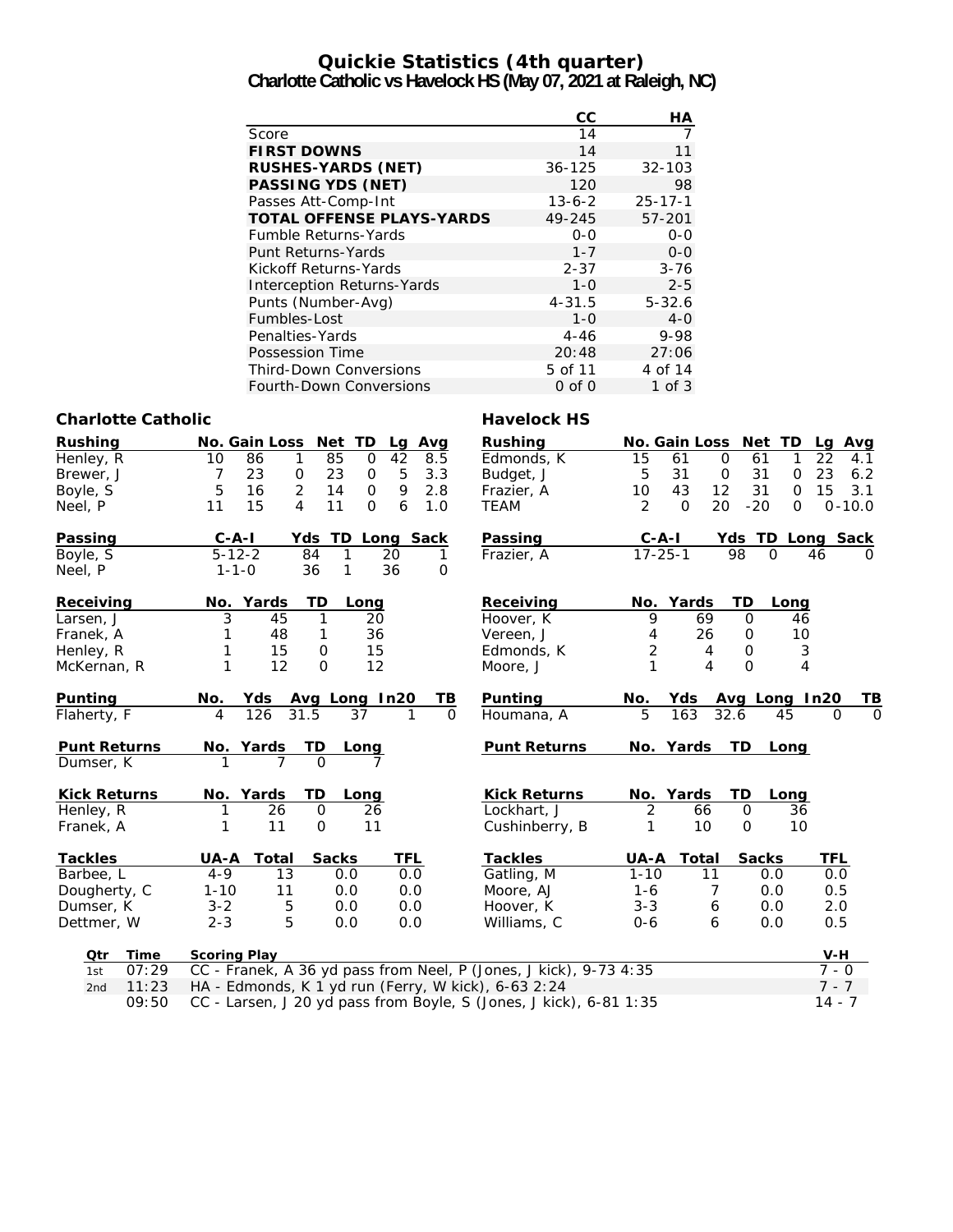#### **Quickie Statistics (4th quarter) Charlotte Catholic vs Havelock HS (May 07, 2021 at Raleigh, NC)**

|                                   | СC           | НA            |
|-----------------------------------|--------------|---------------|
| Score                             | 14           |               |
| <b>FIRST DOWNS</b>                | 14           | 11            |
| <b>RUSHES-YARDS (NET)</b>         | $36 - 125$   | $32 - 103$    |
| PASSING YDS (NET)                 | 120          | 98            |
| Passes Att-Comp-Int               | $13 - 6 - 2$ | $25 - 17 - 1$ |
| <b>TOTAL OFFENSE PLAYS-YARDS</b>  | 49-245       | 57-201        |
| <b>Fumble Returns-Yards</b>       | $0 - 0$      | $0 - 0$       |
| Punt Returns-Yards                | $1 - 7$      | $0 - 0$       |
| Kickoff Returns-Yards             | $2 - 37$     | $3 - 76$      |
| <b>Interception Returns-Yards</b> | $1 - 0$      | $2 - 5$       |
| Punts (Number-Avg)                | $4 - 31.5$   | $5 - 32.6$    |
| Fumbles-Lost                      | $1 - 0$      | $4 - 0$       |
| Penalties-Yards                   | 4-46         | 9-98          |
| Possession Time                   | 20:48        | 27:06         |
| <b>Third-Down Conversions</b>     | 5 of 11      | 4 of 14       |
| <b>Fourth-Down Conversions</b>    | $0$ of $0$   | 1 of $3$      |

#### **Charlotte Catholic Charlotte Catholic Charlotte Catholic Charlotte Catholic Charlotte Charlotte Charlotte Charlotte Charlotte Charlotte Charlotte Charlotte Charlotte Charlotte Charlotte Charlotte Charlotte Charlotte Charl**

| Rushing             | No. Gain Loss Net TD<br>Avg<br>Lg                                   | <b>Rushing</b>      |                |                   | No. Gain Loss Net TD | Lg Avg               |  |  |
|---------------------|---------------------------------------------------------------------|---------------------|----------------|-------------------|----------------------|----------------------|--|--|
| Henley, R           | 85<br>42<br>10<br>86<br>$\mathbf 0$<br>8.5<br>1                     | Edmonds, K          | 15             | 61<br>$\mathbf 0$ | 61<br>1              | 22<br>4.1            |  |  |
| Brewer, J           | $\sqrt{5}$<br>23<br>$\mathbf 0$<br>23<br>3.3<br>7<br>0              | Budget, J           | 5              | 31<br>$\mathbf 0$ | 31<br>$\mathbf 0$    | 23<br>6.2            |  |  |
| Boyle, S            | 2<br>9<br>5<br>16<br>14<br>2.8<br>$\mathbf 0$                       | Frazier, A          | 10             | 43<br>12          | 31<br>$\Omega$       | 15<br>3.1            |  |  |
| Neel, P             | 15<br>$\overline{4}$<br>11<br>6<br>11<br>$\Omega$<br>1.0            | <b>TEAM</b>         | $\overline{2}$ | 20<br>$\Omega$    | $-20$<br>$\Omega$    | $0 - 10.0$           |  |  |
| Passing             | $C - A - I$<br>Yds<br>TD Long Sack                                  | Passing             | $C - A - I$    |                   | Yds TD Long Sack     |                      |  |  |
| Boyle, S            | $5 - 12 - 2$<br>84<br>1<br>20<br>1                                  | Frazier, A          | $17 - 25 - 1$  |                   | 98<br>$\Omega$       | 46<br><sup>o</sup>   |  |  |
| Neel, P             | 36<br>36<br>$1 - 1 - 0$<br>$\mathbf 0$<br>1                         |                     |                |                   |                      |                      |  |  |
| Receiving           | TD<br>No. Yards<br>Long                                             | Receiving           |                | No. Yards         | TD<br>Long           |                      |  |  |
| Larsen, J           | 3<br>45<br>1<br>20                                                  | Hoover, K           | 9              | 69                | $\mathbf 0$<br>46    |                      |  |  |
| Franek, A           | 36<br>48<br>1                                                       | Vereen, J           | 4              | 26                | 10<br>0              |                      |  |  |
| Henley, R           | 15<br>15<br>$\mathsf{O}$                                            | Edmonds, K          | $\overline{2}$ | 4                 | $\mathbf 0$          | $\sqrt{3}$           |  |  |
| McKernan, R         | 12<br>1<br>12<br>$\Omega$                                           | Moore, J            | 1              | 4                 | $\Omega$             | $\overline{4}$       |  |  |
| Punting             | TВ<br>No.<br>Yds<br>Avg Long In20                                   | Punting             | No.            | Yds               | Avg Long In20        | ΤВ                   |  |  |
| Flaherty, F         | 126<br>$\Omega$<br>31.5<br>37<br>4                                  | Houmana, A          | 5              | 163               | 32.6<br>45           | $\Omega$<br>$\Omega$ |  |  |
| <b>Punt Returns</b> | No. Yards<br>TD<br>Long                                             | <b>Punt Returns</b> |                | No. Yards         | TD.<br>Long          |                      |  |  |
| Dumser, K           |                                                                     |                     |                |                   |                      |                      |  |  |
| <b>Kick Returns</b> | No. Yards<br>TD<br>Long                                             | <b>Kick Returns</b> |                | No. Yards         | TD<br>Long           |                      |  |  |
| Henley, R           | $\mathbf 0$<br>26<br>26                                             | Lockhart, J         | $\overline{2}$ | 66                | $\mathbf 0$<br>36    |                      |  |  |
| Franek, A           | 11<br>$\Omega$<br>11<br>1                                           | Cushinberry, B      | 1              | 10                | $\mathbf 0$<br>10    |                      |  |  |
| <b>Tackles</b>      | UA-A<br>Total<br><b>Sacks</b><br>TFL                                | <b>Tackles</b>      | UA-A           | <b>Total</b>      | <b>Sacks</b>         | TFL                  |  |  |
| Barbee, L           | $4 - 9$<br>13<br>0.0<br>0.0                                         | Gatling, M          | $1 - 10$       | 11                | 0.0                  | 0.0                  |  |  |
| Dougherty, C        | 0.0<br>$1 - 10$<br>11<br>0.0                                        | Moore, AJ           | $1 - 6$        | 7                 | 0.0                  | 0.5                  |  |  |
| Dumser, K           | 0.0<br>5<br>0.0<br>$3 - 2$                                          | Hoover, K           | $3 - 3$        | 6                 | 0.0                  | 2.0                  |  |  |
| Dettmer, W          | 5<br>$2 - 3$<br>0.0<br>0.0                                          | Williams, C         | $0 - 6$        | 6                 | 0.0                  | 0.5                  |  |  |
| Otr<br>Time         | <b>Scoring Play</b>                                                 |                     |                |                   |                      | $V-H$                |  |  |
| 07:29<br>1st        | CC - Franek, A 36 yd pass from Neel, P (Jones, J kick), 9-73 4:35   |                     |                |                   |                      |                      |  |  |
| 11:23<br>2nd        | HA - Edmonds, K 1 yd run (Ferry, W kick), 6-63 2:24                 |                     |                |                   |                      |                      |  |  |
| $\Omega$ . 50       | $CC$ Larson, L20 ud nass from Royle, S (Jones, Lkick), 6, 91, 1, 25 |                     |                |                   |                      | $7 - 7$<br>11 7      |  |  |

09:50 CC - Larsen, J 20 yd pass from Boyle, S (Jones, J kick), 6-81 1:35 14 - 7